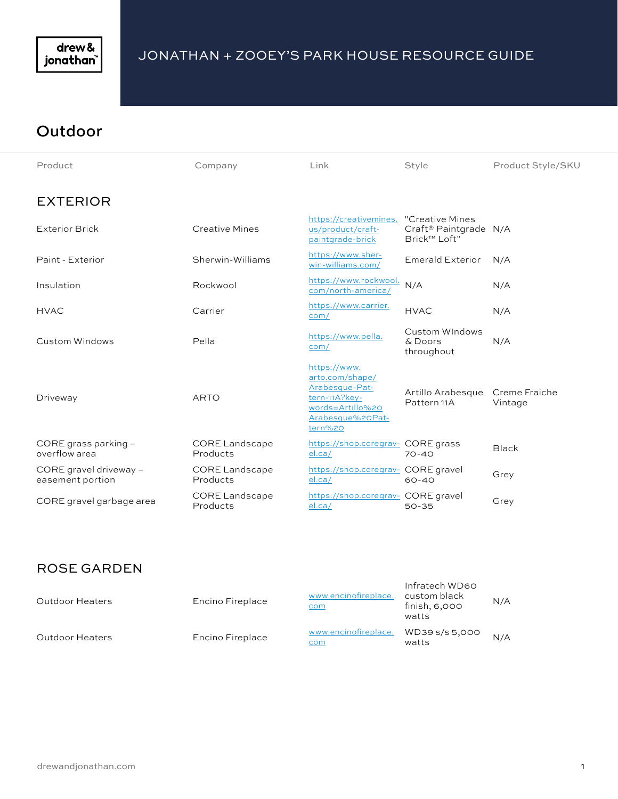

#### **Outdoor**

| Product                                    | Company                           | Link                                                                                                                  | Style                                                                | Product Style/SKU        |
|--------------------------------------------|-----------------------------------|-----------------------------------------------------------------------------------------------------------------------|----------------------------------------------------------------------|--------------------------|
| <b>EXTERIOR</b>                            |                                   |                                                                                                                       |                                                                      |                          |
| <b>Exterior Brick</b>                      | <b>Creative Mines</b>             | https://creativemines.<br>us/product/craft-<br>paintgrade-brick                                                       | "Creative Mines<br>Craft <sup>®</sup> Paintgrade N/A<br>Brick™ Loft" |                          |
| Paint - Exterior                           | Sherwin-Williams                  | https://www.sher-<br>win-williams.com/                                                                                | <b>Emerald Exterior</b>                                              | N/A                      |
| Insulation                                 | Rockwool                          | https://www.rockwool.<br>com/north-america/                                                                           | N/A                                                                  | N/A                      |
| <b>HVAC</b>                                | Carrier                           | https://www.carrier.<br>com/                                                                                          | <b>HVAC</b>                                                          | N/A                      |
| Custom Windows                             | Pella                             | https://www.pella.<br>com/                                                                                            | Custom WIndows<br>& Doors<br>throughout                              | N/A                      |
| Driveway                                   | <b>ARTO</b>                       | https://www.<br>arto.com/shape/<br>Arabesque-Pat-<br>tern-11A?key-<br>words=Artillo%20<br>Arabesque%20Pat-<br>tern%20 | Artillo Arabesque<br>Pattern 11A                                     | Creme Fraiche<br>Vintage |
| CORE grass parking -<br>overflow area      | <b>CORE Landscape</b><br>Products | https://shop.coregrav- CORE grass<br>el.ca/                                                                           | $70 - 40$                                                            | <b>Black</b>             |
| CORE gravel driveway -<br>easement portion | <b>CORE Landscape</b><br>Products | https://shop.coregrav- CORE gravel<br>el.ca/                                                                          | $60 - 40$                                                            | Grey                     |
| CORE gravel garbage area                   | <b>CORE Landscape</b><br>Products | https://shop.coregrav- CORE gravel<br>el.ca/                                                                          | $50 - 35$                                                            | Grey                     |

#### ROSE GARDEN

| Outdoor Heaters        | Encino Fireplace | www.encinofireplace.<br>com        | Infratech WD60<br>custom black<br>finish, 6,000<br>watts | N/A |
|------------------------|------------------|------------------------------------|----------------------------------------------------------|-----|
| <b>Outdoor Heaters</b> | Encino Fireplace | www.encinofireplace.<br><u>com</u> | WD39 s/s 5,000<br>watts                                  | N/A |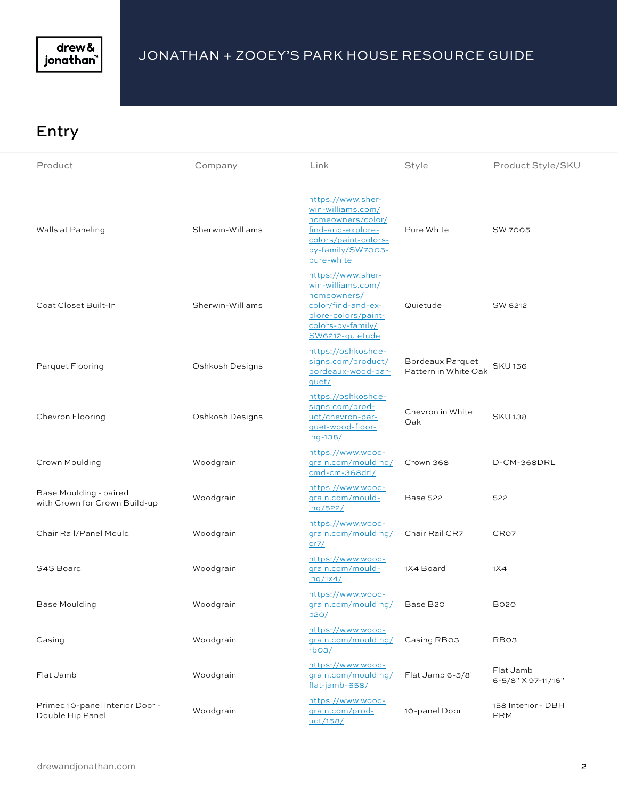

#### Entry

| Product                                                 | Company          | Link                                                                                                                                        | Style                                           | Product Style/SKU                |
|---------------------------------------------------------|------------------|---------------------------------------------------------------------------------------------------------------------------------------------|-------------------------------------------------|----------------------------------|
| Walls at Paneling                                       | Sherwin-Williams | https://www.sher-<br>win-williams.com/<br>homeowners/color/<br>find-and-explore-<br>colors/paint-colors-<br>by-family/SW7005-<br>pure-white | Pure White                                      | <b>SW 7005</b>                   |
| Coat Closet Built-In                                    | Sherwin-Williams | https://www.sher-<br>win-williams.com/<br>homeowners/<br>color/find-and-ex-<br>plore-colors/paint-<br>colors-by-family/<br>SW6212-quietude  | Quietude                                        | SW 6212                          |
| Parquet Flooring                                        | Oshkosh Designs  | https://oshkoshde-<br>signs.com/product/<br>bordeaux-wood-par-<br>quet/                                                                     | <b>Bordeaux Parquet</b><br>Pattern in White Oak | <b>SKU156</b>                    |
| Chevron Flooring                                        | Oshkosh Designs  | https://oshkoshde-<br>signs.com/prod-<br>uct/chevron-par-<br>quet-wood-floor-<br>ing-138/                                                   | Chevron in White<br>Oak                         | <b>SKU138</b>                    |
| Crown Moulding                                          | Woodgrain        | https://www.wood-<br>grain.com/moulding/<br>cmd-cm-368drl/                                                                                  | Crown 368                                       | D-CM-368DRL                      |
| Base Moulding - paired<br>with Crown for Crown Build-up | Woodgrain        | https://www.wood-<br>grain.com/mould-<br>ing/522/                                                                                           | <b>Base 522</b>                                 | 522                              |
| Chair Rail/Panel Mould                                  | Woodgrain        | https://www.wood-<br>grain.com/moulding/<br>cr7/                                                                                            | Chair Rail CR7                                  | CR <sub>O7</sub>                 |
| S4S Board                                               | Woodgrain        | https://www.wood-<br>grain.com/mould-<br>ing/1x4/                                                                                           | 1X4 Board                                       | 1X4                              |
| Base Moulding                                           | Woodgrain        | https://www.wood-<br>qrain.com/moulding/<br><u>b2O/</u>                                                                                     | Base B20                                        | <b>B020</b>                      |
| Casing                                                  | Woodgrain        | https://www.wood-<br>grain.com/moulding/<br>rbo3/                                                                                           | Casing RB03                                     | RB <sub>O3</sub>                 |
| Flat Jamb                                               | Woodgrain        | https://www.wood-<br>grain.com/moulding/<br>flat-jamb-658/                                                                                  | Flat Jamb 6-5/8"                                | Flat Jamb<br>6-5/8" X 97-11/16"  |
| Primed 10-panel Interior Door -<br>Double Hip Panel     | Woodgrain        | https://www.wood-<br>grain.com/prod-<br>uct/158/                                                                                            | 10-panel Door                                   | 158 Interior - DBH<br><b>PRM</b> |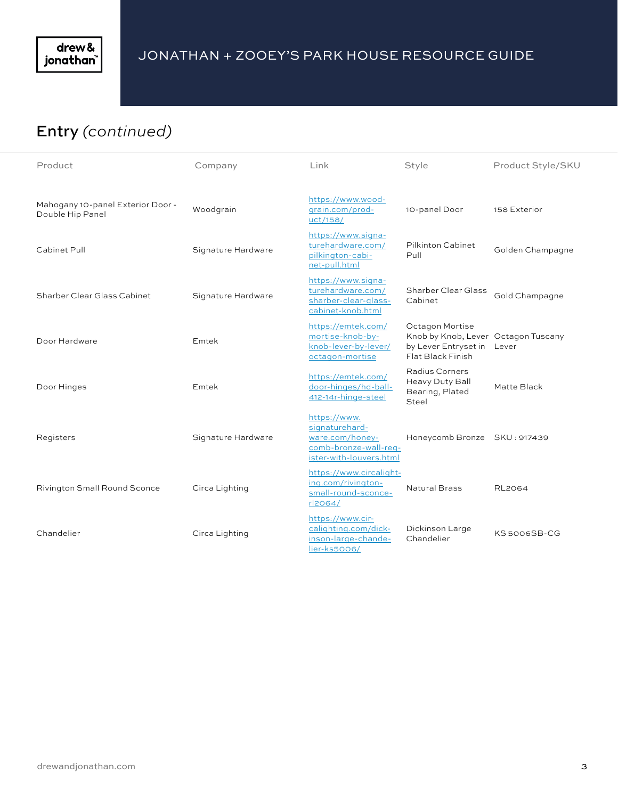

# Entry *(continued)*

| Product                                               | Company            | Link                                                                                                  | Style                                                                                               | Product Style/SKU |
|-------------------------------------------------------|--------------------|-------------------------------------------------------------------------------------------------------|-----------------------------------------------------------------------------------------------------|-------------------|
| Mahogany 10-panel Exterior Door -<br>Double Hip Panel | Woodgrain          | https://www.wood-<br>qrain.com/prod-<br>uct/158/                                                      | 10-panel Door                                                                                       | 158 Exterior      |
| Cabinet Pull                                          | Signature Hardware | https://www.signa-<br>turehardware.com/<br>pilkington-cabi-<br>net-pull.html                          | Pilkinton Cabinet<br>Pull                                                                           | Golden Champagne  |
| Sharber Clear Glass Cabinet                           | Signature Hardware | https://www.signa-<br>turehardware.com/<br>sharber-clear-glass-<br>cabinet-knob.html                  | <b>Sharber Clear Glass</b><br>Cabinet                                                               | Gold Champagne    |
| Door Hardware                                         | Emtek              | https://emtek.com/<br>mortise-knob-by-<br>knob-lever-by-lever/<br>octagon-mortise                     | Octagon Mortise<br>Knob by Knob, Lever Octagon Tuscany<br>by Lever Entryset in<br>Flat Black Finish | Lever             |
| Door Hinges                                           | Emtek              | https://emtek.com/<br>door-hinges/hd-ball-<br>412-14r-hinge-steel                                     | Radius Corners<br>Heavy Duty Ball<br>Bearing, Plated<br>Steel                                       | Matte Black       |
| Registers                                             | Signature Hardware | https://www.<br>signaturehard-<br>ware.com/honey-<br>comb-bronze-wall-req-<br>ister-with-louvers.html | Honeycomb Bronze SKU: 917439                                                                        |                   |
| <b>Rivington Small Round Sconce</b>                   | Circa Lighting     | https://www.circalight-<br>ing.com/rivington-<br>small-round-sconce-<br>rl2064/                       | <b>Natural Brass</b>                                                                                | <b>RL2064</b>     |
| Chandelier                                            | Circa Lighting     | https://www.cir-<br>calighting.com/dick-<br>inson-large-chande-<br>lier-ks5006/                       | Dickinson Large<br>Chandelier                                                                       | KS 5006SB-CG      |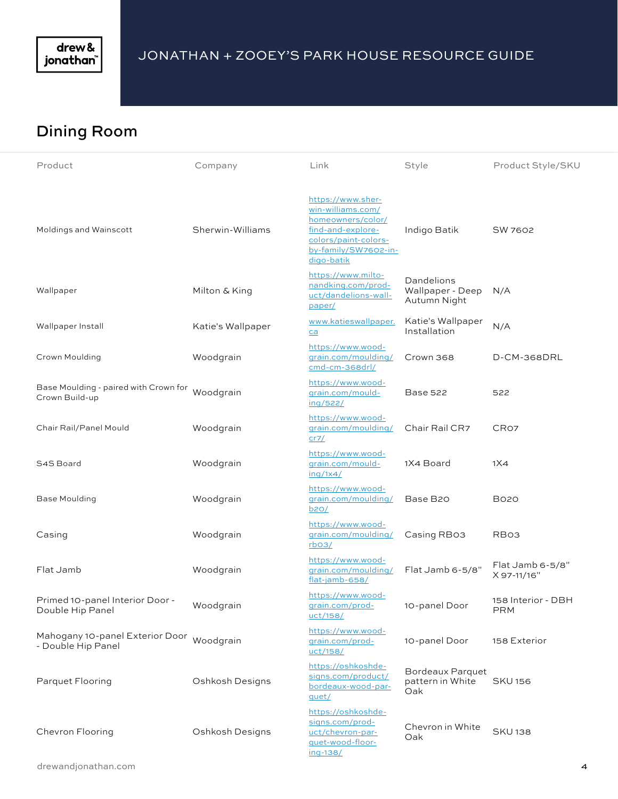

# Dining Room

| Product                                                         | Company           | Link                                                                                                                                           | Style                                              | Product Style/SKU                |
|-----------------------------------------------------------------|-------------------|------------------------------------------------------------------------------------------------------------------------------------------------|----------------------------------------------------|----------------------------------|
| Moldings and Wainscott                                          | Sherwin-Williams  | https://www.sher-<br>win-williams.com/<br>homeowners/color/<br>find-and-explore-<br>colors/paint-colors-<br>by-family/SW7602-in-<br>digo-batik | Indigo Batik                                       | SW 7602                          |
| Wallpaper                                                       | Milton & King     | https://www.milto-<br>nandking.com/prod-<br>uct/dandelions-wall-<br>paper/                                                                     | Dandelions<br>Wallpaper - Deep<br>Autumn Night     | N/A                              |
| Wallpaper Install                                               | Katie's Wallpaper | www.katieswallpaper.<br>ca                                                                                                                     | Katie's Wallpaper<br>Installation                  | N/A                              |
| Crown Moulding                                                  | Woodgrain         | https://www.wood-<br>grain.com/moulding/<br>cmd-cm-368drl/                                                                                     | Crown 368                                          | D-CM-368DRL                      |
| Base Moulding - paired with Crown for<br>Crown Build-up         | Woodgrain         | https://www.wood-<br>grain.com/mould-<br>ing/522/                                                                                              | <b>Base 522</b>                                    | 522                              |
| Chair Rail/Panel Mould                                          | Woodgrain         | https://www.wood-<br>grain.com/moulding/<br>cr7/                                                                                               | Chair Rail CR7                                     | CR <sub>O7</sub>                 |
| S4S Board                                                       | Woodgrain         | https://www.wood-<br>grain.com/mould-<br>$\frac{\ln q}{1x4}$                                                                                   | 1X4 Board                                          | 1X4                              |
| <b>Base Moulding</b>                                            | Woodgrain         | https://www.wood-<br>grain.com/moulding/<br>b20/                                                                                               | Base B20                                           | <b>B020</b>                      |
| Casing                                                          | Woodgrain         | https://www.wood-<br>grain.com/moulding/<br>$r$ <sub>b</sub> $O$ 3/                                                                            | Casing RB03                                        | RB <sub>O3</sub>                 |
| Flat Jamb                                                       | Woodgrain         | https://www.wood-<br>grain.com/moulding/<br>flat-jamb-658/                                                                                     | Flat Jamb 6-5/8"                                   | Flat Jamb 6-5/8"<br>X 97-11/16"  |
| Primed 10-panel Interior Door -<br>Double Hip Panel             | Woodgrain         | https://www.wood-<br>qrain.com/prod-<br><u>uct/158/</u>                                                                                        | 10-panel Door                                      | 158 Interior - DBH<br><b>PRM</b> |
| Mahogany 10-panel Exterior Door Woodgrain<br>- Double Hip Panel |                   | https://www.wood-<br>qrain.com/prod-<br>uct/158/                                                                                               | 10-panel Door                                      | 158 Exterior                     |
| Parquet Flooring                                                | Oshkosh Designs   | https://oshkoshde-<br>signs.com/product/<br>bordeaux-wood-par-<br>quet/                                                                        | <b>Bordeaux Parquet</b><br>pattern in White<br>Oak | <b>SKU 156</b>                   |
| Chevron Flooring                                                | Oshkosh Designs   | https://oshkoshde-<br>signs.com/prod-<br>uct/chevron-par-<br>quet-wood-floor-<br>ing-138/                                                      | Chevron in White<br>Oak                            | <b>SKU138</b>                    |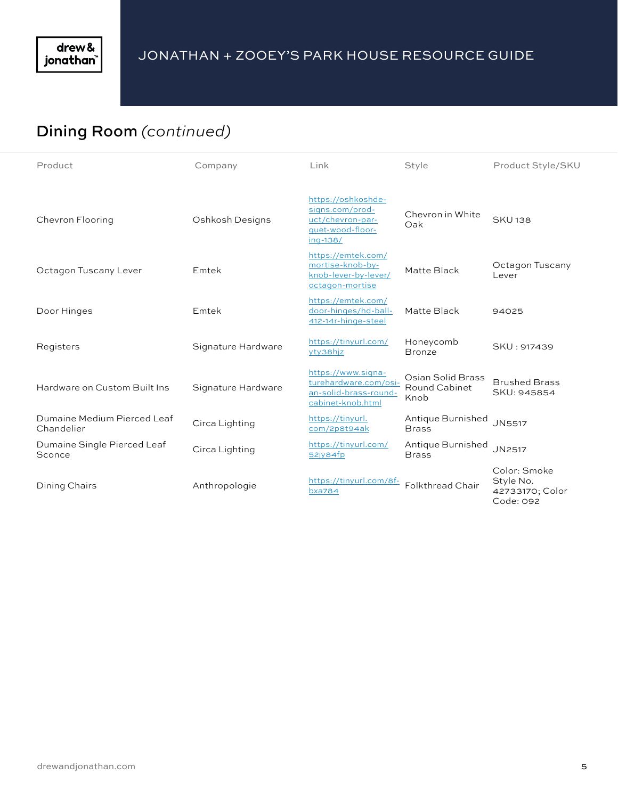# Dining Room *(continued)*

| Product                                   | Company            | Link                                                                                      | Style                                             | Product Style/SKU                                         |
|-------------------------------------------|--------------------|-------------------------------------------------------------------------------------------|---------------------------------------------------|-----------------------------------------------------------|
| Chevron Flooring                          | Oshkosh Designs    | https://oshkoshde-<br>signs.com/prod-<br>uct/chevron-par-<br>quet-wood-floor-<br>ing-138/ | Chevron in White<br>Oak                           | <b>SKU138</b>                                             |
| Octagon Tuscany Lever                     | Emtek              | https://emtek.com/<br>mortise-knob-by-<br>knob-lever-by-lever/<br>octagon-mortise         | Matte Black                                       | Octagon Tuscany<br>Lever                                  |
| Door Hinges                               | Emtek              | https://emtek.com/<br>door-hinges/hd-ball-<br>412-14r-hinge-steel                         | Matte Black                                       | 94025                                                     |
| Registers                                 | Signature Hardware | https://tinyurl.com/<br>yty38hjz                                                          | Honeycomb<br><b>Bronze</b>                        | SKU: 917439                                               |
| Hardware on Custom Built Ins              | Signature Hardware | https://www.signa-<br>turehardware.com/osi-<br>an-solid-brass-round-<br>cabinet-knob.html | Osian Solid Brass<br><b>Round Cabinet</b><br>Knob | <b>Brushed Brass</b><br>SKU: 945854                       |
| Dumaine Medium Pierced Leaf<br>Chandelier | Circa Lighting     | https://tinyurl.<br>com/2p8t94ak                                                          | Antique Burnished<br><b>Brass</b>                 | <b>JN5517</b>                                             |
| Dumaine Single Pierced Leaf<br>Sconce     | Circa Lighting     | https://tinyurl.com/<br>52jy84fp                                                          | Antique Burnished<br><b>Brass</b>                 | JN2517                                                    |
| Dining Chairs                             | Anthropologie      | https://tinyurl.com/8f-<br><b>bxa784</b>                                                  | <b>Folkthread Chair</b>                           | Color: Smoke<br>Style No.<br>42733170; Color<br>Code: 092 |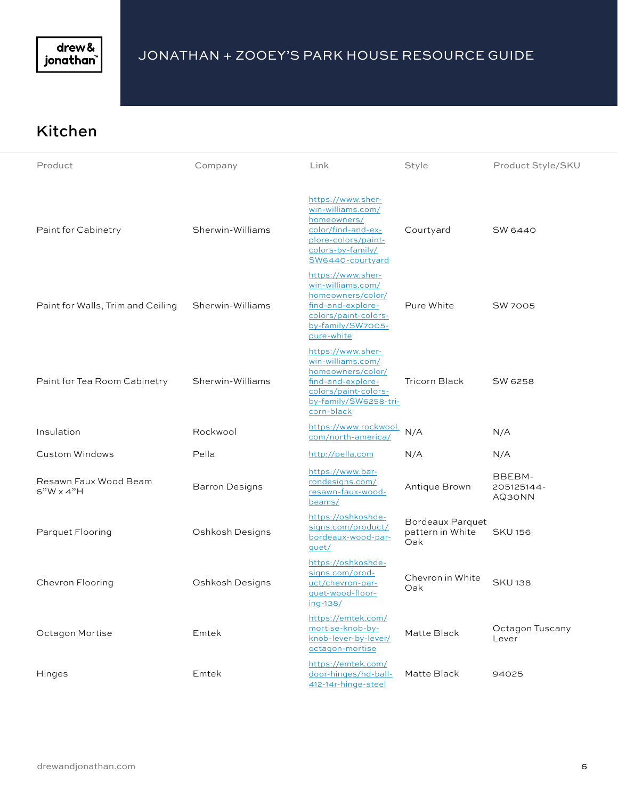

## Kitchen

| Product                                   | Company               | Link                                                                                                                                            | Style                                              | Product Style/SKU              |
|-------------------------------------------|-----------------------|-------------------------------------------------------------------------------------------------------------------------------------------------|----------------------------------------------------|--------------------------------|
| Paint for Cabinetry                       | Sherwin-Williams      | https://www.sher-<br>win-williams.com/<br>homeowners/<br>color/find-and-ex-<br>plore-colors/paint-<br>colors-by-family/<br>SW6440-courtyard     | Courtyard                                          | SW 6440                        |
| Paint for Walls, Trim and Ceiling         | Sherwin-Williams      | https://www.sher-<br>win-williams.com/<br>homeowners/color/<br>find-and-explore-<br>colors/paint-colors-<br>by-family/SW7005-<br>pure-white     | Pure White                                         | <b>SW 7005</b>                 |
| Paint for Tea Room Cabinetry              | Sherwin-Williams      | https://www.sher-<br>win-williams.com/<br>homeowners/color/<br>find-and-explore-<br>colors/paint-colors-<br>by-family/SW6258-tri-<br>corn-black | <b>Tricorn Black</b>                               | SW 6258                        |
| Insulation                                | Rockwool              | https://www.rockwool.<br>com/north-america/                                                                                                     | N/A                                                | N/A                            |
| Custom Windows                            | Pella                 | http://pella.com                                                                                                                                | N/A                                                | N/A                            |
| Resawn Faux Wood Beam<br>$6"W \times 4"H$ | <b>Barron Designs</b> | https://www.bar-<br>rondesigns.com/<br>resawn-faux-wood-<br>beams/                                                                              | Antique Brown                                      | BBEBM-<br>205125144-<br>AQ30NN |
| Parquet Flooring                          | Oshkosh Designs       | https://oshkoshde-<br>signs.com/product/<br>bordeaux-wood-par-<br>quet/                                                                         | <b>Bordeaux Parquet</b><br>pattern in White<br>Oak | <b>SKU156</b>                  |
| Chevron Flooring                          | Oshkosh Designs       | https://oshkoshde-<br>signs.com/prod-<br>uct/chevron-par-<br>quet-wood-floor-<br>ing-138/                                                       | Chevron in White<br>Oak                            | <b>SKU138</b>                  |
| Octagon Mortise                           | Emtek                 | https://emtek.com/<br>mortise-knob-by-<br>knob-lever-by-lever/<br>octagon-mortise                                                               | Matte Black                                        | Octagon Tuscany<br>Lever       |
| Hinges                                    | Emtek                 | https://emtek.com/<br>door-hinges/hd-ball-<br>412-14r-hinge-steel                                                                               | Matte Black                                        | 94025                          |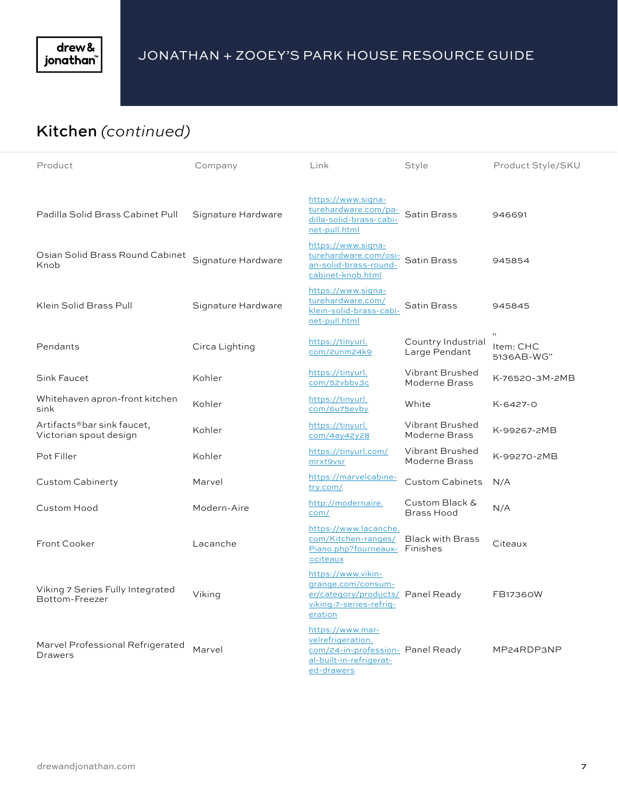

# Kitchen *(continued)*

| Product                                              | Company            | Link                                                                                                                | Style                               | Product Style/SKU       |
|------------------------------------------------------|--------------------|---------------------------------------------------------------------------------------------------------------------|-------------------------------------|-------------------------|
| Padilla Solid Brass Cabinet Pull                     | Signature Hardware | https://www.signa-<br>turehardware.com/pa-<br>dilla-solid-brass-cabi-<br>net-pull.html                              | Satin Brass                         | 946691                  |
| Osian Solid Brass Round Cabinet<br>Knob              | Signature Hardware | https://www.signa-<br>turehardware.com/osi-<br>an-solid-brass-round-<br>cabinet-knob.html                           | Satin Brass                         | 945854                  |
| Klein Solid Brass Pull                               | Signature Hardware | https://www.signa-<br>turehardware.com/<br>klein-solid-brass-cabi-<br>net-pull.html                                 | Satin Brass                         | 945845                  |
| Pendants                                             | Circa Lighting     | https://tinyurl.<br>com/2unm24k9                                                                                    | Country Industrial<br>Large Pendant | Item: CHC<br>5136AB-WG" |
| Sink Faucet                                          | Kohler             | https://tinyurl.<br>com/52vbbv3c                                                                                    | Vibrant Brushed<br>Moderne Brass    | K-76520-3M-2MB          |
| Whitehaven apron-front kitchen<br>sink               | Kohler             | https://tinyurl.<br>com/6u75evby                                                                                    | White                               | K-6427-0                |
| Artifacts®bar sink faucet,<br>Victorian spout design | Kohler             | https://tinyurl.<br>com/4ay42y28                                                                                    | Vibrant Brushed<br>Moderne Brass    | K-99267-2MB             |
| Pot Filler                                           | Kohler             | https://tinyurl.com/<br>mrxt9vsr                                                                                    | Vibrant Brushed<br>Moderne Brass    | K-99270-2MB             |
| Custom Cabinerty                                     | Marvel             | https://marvelcabine-<br>try.com/                                                                                   | <b>Custom Cabinets</b>              | N/A                     |
| Custom Hood                                          | Modern-Aire        | http://modernaire.<br>com/                                                                                          | Custom Black &<br>Brass Hood        | N/A                     |
| Front Cooker                                         | Lacanche           | https://www.lacanche.<br>com/Kitchen-ranges/<br>Piano.php?fourneaux- Finishes<br>$=$ citeaux                        | <b>Black with Brass</b>             | Citeaux                 |
| Viking 7 Series Fully Integrated<br>Bottom-Freezer   | Viking             | https://www.vikin-<br>grange.com/consum-<br>er/category/products/ Panel Ready<br>viking-7-series-refrig-<br>eration |                                     | FB17360W                |
| Marvel Professional Refrigerated<br><b>Drawers</b>   | Marvel             | https://www.mar-<br>velrefrigeration.<br>com/24-in-profession- Panel Ready<br>al-built-in-refrigerat-<br>ed-drawers |                                     | MP24RDP3NP              |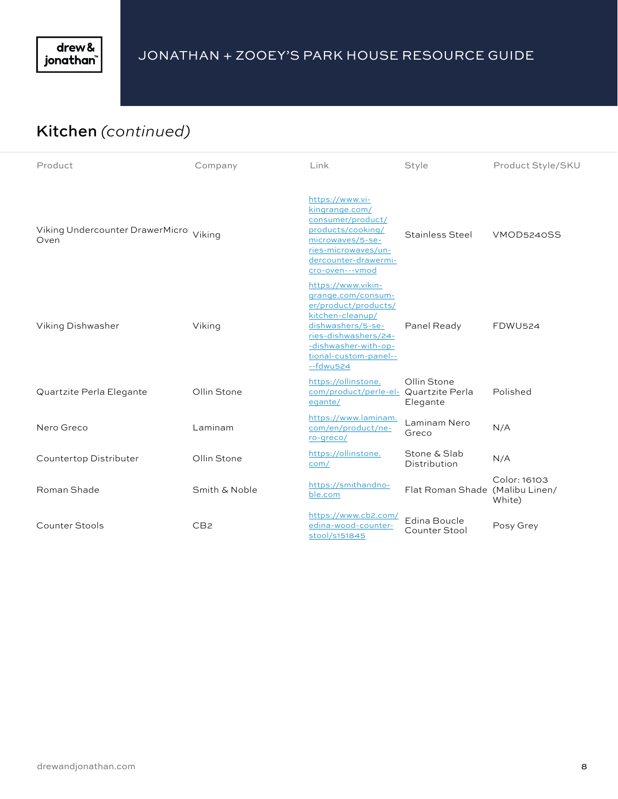

# Kitchen *(continued)*

| Product                                        | Company         | Link                                                                                                                                                                                              | Style                           | Product Style/SKU      |
|------------------------------------------------|-----------------|---------------------------------------------------------------------------------------------------------------------------------------------------------------------------------------------------|---------------------------------|------------------------|
| Viking Undercounter DrawerMicro Viking<br>Oven |                 | https://www.vi-<br>kingrange.com/<br>consumer/product/<br>products/cooking/<br>microwaves/5-se-<br>ries-microwaves/un-<br>dercounter-drawermi-<br>cro-oven---vmod                                 | Stainless Steel                 | VMOD5240SS             |
| Viking Dishwasher                              | Viking          | https://www.vikin-<br>grange.com/consum-<br>er/product/products/<br>kitchen-cleanup/<br>dishwashers/5-se-<br>ries-dishwashers/24-<br>-dishwasher-with-op-<br>tional-custom-panel--<br>$-$ fdwu524 | Panel Ready                     | <b>FDWU524</b>         |
| Quartzite Perla Elegante                       | Ollin Stone     | https://ollinstone.<br>com/product/perle-el- Quartzite Perla<br>egante/                                                                                                                           | Ollin Stone<br>Elegante         | Polished               |
| Nero Greco                                     | Laminam         | https://www.laminam.<br>com/en/product/ne-<br>ro-greco/                                                                                                                                           | Laminam Nero<br>Greco           | N/A                    |
| Countertop Distributer                         | Ollin Stone     | https://ollinstone.<br>com/                                                                                                                                                                       | Stone & Slab<br>Distribution    | N/A                    |
| Roman Shade                                    | Smith & Noble   | https://smithandno-<br>ble.com                                                                                                                                                                    | Flat Roman Shade (Malibu Linen/ | Color: 16103<br>White) |
| Counter Stools                                 | CB <sub>2</sub> | https://www.cb2.com/<br>edina-wood-counter-<br>stool/s151845                                                                                                                                      | Edina Boucle<br>Counter Stool   | Posy Grey              |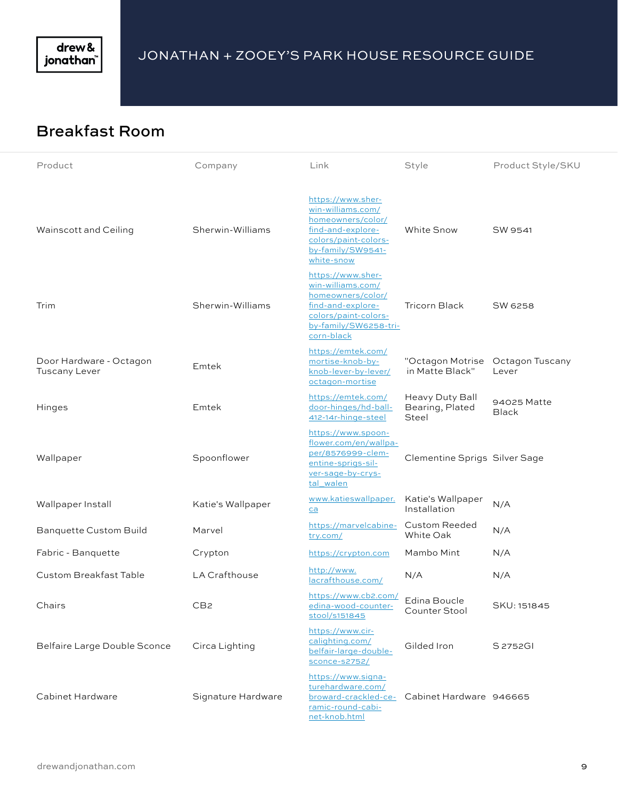

# Breakfast Room

| Product                                         | Company              | Link                                                                                                                                            | Style                                       | Product Style/SKU        |
|-------------------------------------------------|----------------------|-------------------------------------------------------------------------------------------------------------------------------------------------|---------------------------------------------|--------------------------|
| Wainscott and Ceiling                           | Sherwin-Williams     | https://www.sher-<br>win-williams.com/<br>homeowners/color/<br>find-and-explore-<br>colors/paint-colors-<br>by-family/SW9541-<br>white-snow     | <b>White Snow</b>                           | SW 9541                  |
| Trim                                            | Sherwin-Williams     | https://www.sher-<br>win-williams.com/<br>homeowners/color/<br>find-and-explore-<br>colors/paint-colors-<br>by-family/SW6258-tri-<br>corn-black | Tricorn Black                               | SW 6258                  |
| Door Hardware - Octagon<br><b>Tuscany Lever</b> | Emtek                | https://emtek.com/<br>mortise-knob-by-<br>knob-lever-by-lever/<br>octagon-mortise                                                               | "Octagon Motrise<br>in Matte Black"         | Octagon Tuscany<br>Lever |
| Hinges                                          | Emtek                | https://emtek.com/<br>door-hinges/hd-ball-<br>412-14r-hinge-steel                                                                               | Heavy Duty Ball<br>Bearing, Plated<br>Steel | 94025 Matte<br>Black     |
| Wallpaper                                       | Spoonflower          | https://www.spoon-<br>flower.com/en/wallpa-<br>per/8576999-clem-<br>entine-sprigs-sil-<br>ver-sage-by-crys-<br>tal walen                        | <b>Clementine Sprigs Silver Sage</b>        |                          |
| Wallpaper Install                               | Katie's Wallpaper    | www.katieswallpaper.<br>ca                                                                                                                      | Katie's Wallpaper<br>Installation           | N/A                      |
| <b>Banquette Custom Build</b>                   | Marvel               | https://marvelcabine-<br>try.com/                                                                                                               | Custom Reeded<br>White Oak                  | N/A                      |
| Fabric - Banquette                              | Crypton              | https://crypton.com                                                                                                                             | Mambo Mint                                  | N/A                      |
| <b>Custom Breakfast Table</b>                   | <b>LA Crafthouse</b> | http://www.<br>lacrafthouse.com/                                                                                                                | N/A                                         | N/A                      |
| Chairs                                          | CB <sub>2</sub>      | https://www.cb2.com/<br>edina-wood-counter-<br>stool/s151845                                                                                    | Edina Boucle<br>Counter Stool               | SKU: 151845              |
| Belfaire Large Double Sconce                    | Circa Lighting       | https://www.cir-<br>calighting.com/<br>belfair-large-double-<br>sconce-s2752/                                                                   | Gilded Iron                                 | S 2752GI                 |
| Cabinet Hardware                                | Signature Hardware   | https://www.signa-<br>turehardware.com/<br>broward-crackled-ce-<br>ramic-round-cabi-<br>net-knob.html                                           | Cabinet Hardware 946665                     |                          |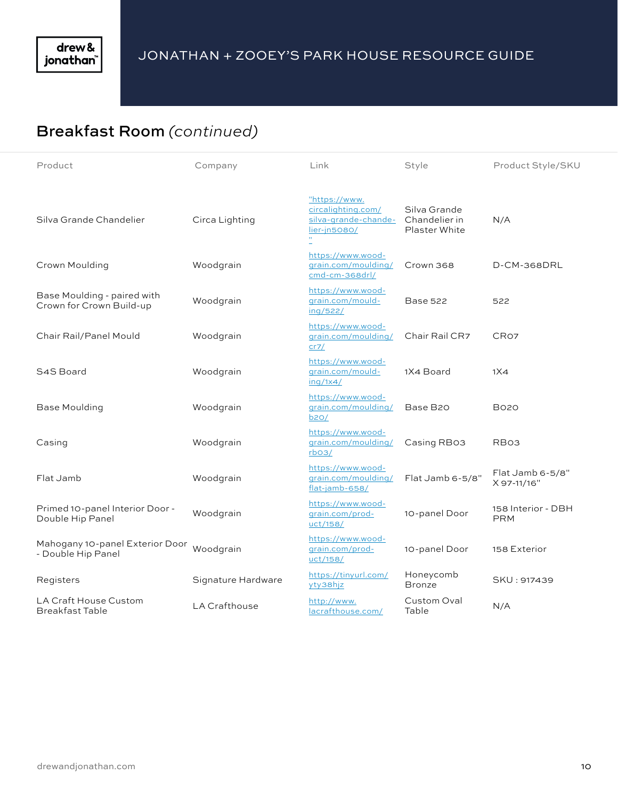# Breakfast Room *(continued)*

| Product                                                 | Company              | Link                                                                              | Style                                          | Product Style/SKU                |
|---------------------------------------------------------|----------------------|-----------------------------------------------------------------------------------|------------------------------------------------|----------------------------------|
| Silva Grande Chandelier                                 | Circa Lighting       | "https://www.<br>circalighting.com/<br>silva-grande-chande-<br>lier-jn5080/<br>H. | Silva Grande<br>Chandelier in<br>Plaster White | N/A                              |
| Crown Moulding                                          | Woodgrain            | https://www.wood-<br>grain.com/moulding/<br>cmd-cm-368drl/                        | Crown 368                                      | D-CM-368DRL                      |
| Base Moulding - paired with<br>Crown for Crown Build-up | Woodgrain            | https://www.wood-<br>grain.com/mould-<br>ing/522/                                 | Base 522                                       | 522                              |
| Chair Rail/Panel Mould                                  | Woodgrain            | https://www.wood-<br>grain.com/moulding/<br>cr7/                                  | Chair Rail CR7                                 | CR <sub>O7</sub>                 |
| S4S Board                                               | Woodgrain            | https://www.wood-<br>grain.com/mould-<br>inq/1x4/                                 | 1X4 Board                                      | 1X4                              |
| <b>Base Moulding</b>                                    | Woodgrain            | https://www.wood-<br>grain.com/moulding/<br>b20/                                  | Base B20                                       | B020                             |
| Casing                                                  | Woodgrain            | https://www.wood-<br>grain.com/moulding/<br>$r$ <sub>b</sub> o <sub>3</sub> /     | Casing RB03                                    | RB03                             |
| Flat Jamb                                               | Woodgrain            | https://www.wood-<br>grain.com/moulding/<br>flat-jamb-658/                        | Flat Jamb 6-5/8"                               | Flat Jamb 6-5/8"<br>X 97-11/16"  |
| Primed 10-panel Interior Door -<br>Double Hip Panel     | Woodgrain            | https://www.wood-<br>qrain.com/prod-<br>uct/158/                                  | 10-panel Door                                  | 158 Interior - DBH<br><b>PRM</b> |
| Mahogany 10-panel Exterior Door<br>- Double Hip Panel   | Woodgrain            | https://www.wood-<br>qrain.com/prod-<br>uct/158/                                  | 10-panel Door                                  | 158 Exterior                     |
| Registers                                               | Signature Hardware   | https://tinyurl.com/<br>yty38hjz                                                  | Honeycomb<br><b>Bronze</b>                     | SKU: 917439                      |
| LA Craft House Custom<br><b>Breakfast Table</b>         | <b>LA Crafthouse</b> | http://www.<br>lacrafthouse.com/                                                  | Custom Oval<br>Table                           | N/A                              |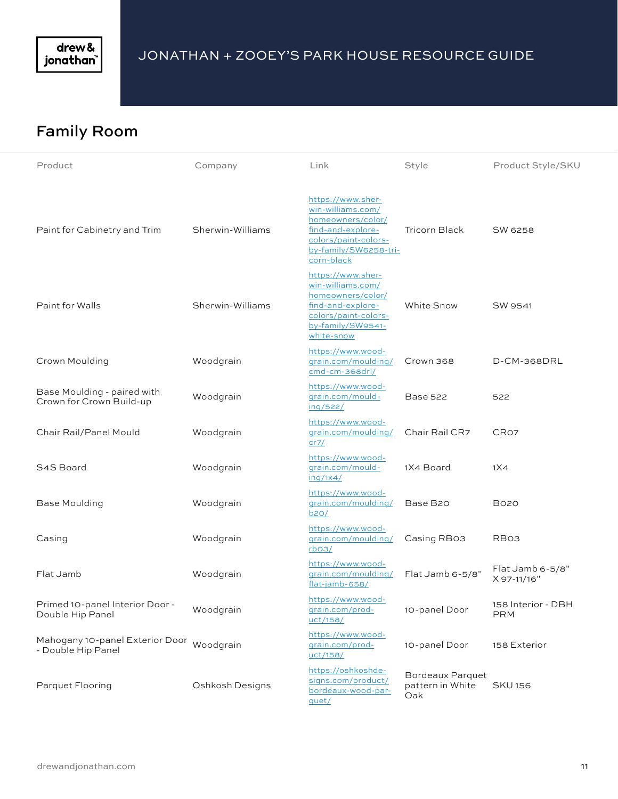

## Family Room

| Product                                                         | Company          | Link                                                                                                                                            | Style                                              | Product Style/SKU                |
|-----------------------------------------------------------------|------------------|-------------------------------------------------------------------------------------------------------------------------------------------------|----------------------------------------------------|----------------------------------|
| Paint for Cabinetry and Trim                                    | Sherwin-Williams | https://www.sher-<br>win-williams.com/<br>homeowners/color/<br>find-and-explore-<br>colors/paint-colors-<br>by-family/SW6258-tri-<br>corn-black | <b>Tricorn Black</b>                               | SW 6258                          |
| Paint for Walls                                                 | Sherwin-Williams | https://www.sher-<br>win-williams.com/<br>homeowners/color/<br>find-and-explore-<br>colors/paint-colors-<br>by-family/SW9541-<br>white-snow     | <b>White Snow</b>                                  | SW 9541                          |
| Crown Moulding                                                  | Woodgrain        | https://www.wood-<br>grain.com/moulding/<br>cmd-cm-368drl/                                                                                      | Crown 368                                          | D-CM-368DRL                      |
| Base Moulding - paired with<br>Crown for Crown Build-up         | Woodgrain        | https://www.wood-<br>grain.com/mould-<br>ing/522/                                                                                               | <b>Base 522</b>                                    | 522                              |
| Chair Rail/Panel Mould                                          | Woodgrain        | https://www.wood-<br>grain.com/moulding/<br>cr7/                                                                                                | Chair Rail CR7                                     | CR <sub>O7</sub>                 |
| S4S Board                                                       | Woodgrain        | https://www.wood-<br>grain.com/mould-<br>ing/1x4/                                                                                               | 1X4 Board                                          | 1X4                              |
| <b>Base Moulding</b>                                            | Woodgrain        | https://www.wood-<br>grain.com/moulding/<br>b20/                                                                                                | Base B20                                           | <b>B020</b>                      |
| Casing                                                          | Woodgrain        | https://www.wood-<br>grain.com/moulding/<br>rbo <sub>3</sub>                                                                                    | Casing RB03                                        | RB <sub>O3</sub>                 |
| Flat Jamb                                                       | Woodgrain        | https://www.wood-<br>grain.com/moulding/<br>flat-jamb-658/                                                                                      | Flat Jamb 6-5/8"                                   | Flat Jamb 6-5/8"<br>X 97-11/16"  |
| Primed 10-panel Interior Door -<br>Double Hip Panel             | Woodgrain        | https://www.wood-<br><u>grain.com/prod-</u><br><u>uct/158/</u>                                                                                  | 10-panel Door                                      | 158 Interior - DBH<br><b>PRM</b> |
| Mahogany 10-panel Exterior Door Woodgrain<br>- Double Hip Panel |                  | https://www.wood-<br>grain.com/prod-<br>uct/158/                                                                                                | 10-panel Door                                      | 158 Exterior                     |
| Parquet Flooring                                                | Oshkosh Designs  | https://oshkoshde-<br>signs.com/product/<br>bordeaux-wood-par-<br>quet/                                                                         | <b>Bordeaux Parquet</b><br>pattern in White<br>Oak | <b>SKU156</b>                    |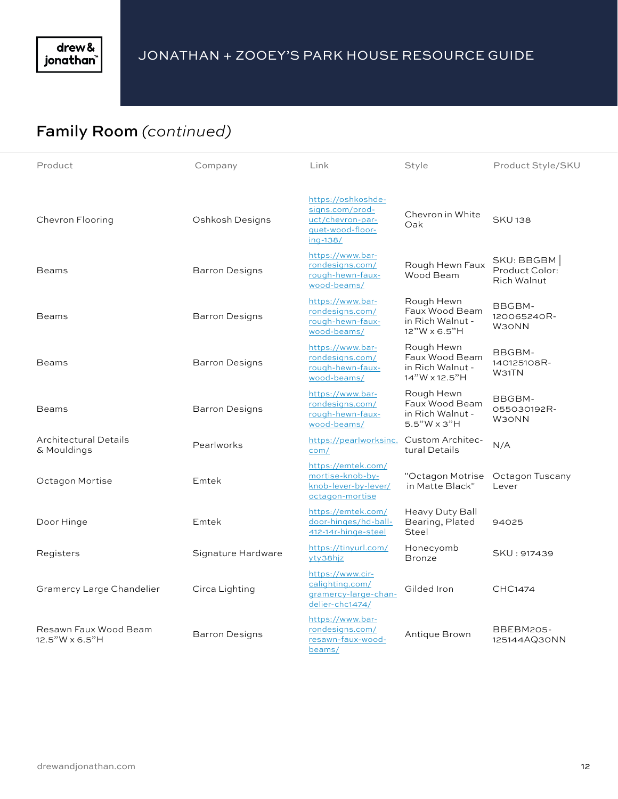# Family Room *(continued)*

| Product                                     | Company               | Link                                                                                      | Style                                                             | Product Style/SKU                           |
|---------------------------------------------|-----------------------|-------------------------------------------------------------------------------------------|-------------------------------------------------------------------|---------------------------------------------|
| Chevron Flooring                            | Oshkosh Designs       | https://oshkoshde-<br>signs.com/prod-<br>uct/chevron-par-<br>quet-wood-floor-<br>ing-138/ | Chevron in White<br>Oak                                           | <b>SKU138</b>                               |
| <b>Beams</b>                                | <b>Barron Designs</b> | https://www.bar-<br>rondesigns.com/<br>rough-hewn-faux-<br>wood-beams/                    | Rough Hewn Faux<br>Wood Beam                                      | SKU: BBGBM<br>Product Color:<br>Rich Walnut |
| <b>Beams</b>                                | <b>Barron Designs</b> | https://www.bar-<br>rondesigns.com/<br>rough-hewn-faux-<br>wood-beams/                    | Rough Hewn<br>Faux Wood Beam<br>in Rich Walnut -<br>12"W x 6.5"H  | BBGBM-<br>120065240R-<br><b>W30NN</b>       |
| <b>Beams</b>                                | <b>Barron Designs</b> | https://www.bar-<br>rondesigns.com/<br>rough-hewn-faux-<br>wood-beams/                    | Rough Hewn<br>Faux Wood Beam<br>in Rich Walnut -<br>14"W x 12.5"H | BBGBM-<br>140125108R-<br>W31TN              |
| <b>Beams</b>                                | <b>Barron Designs</b> | https://www.bar-<br>rondesigns.com/<br>rough-hewn-faux-<br>wood-beams/                    | Rough Hewn<br>Faux Wood Beam<br>in Rich Walnut -<br>5.5"W x 3"H   | BBGBM-<br>055030192R-<br><b>W30NN</b>       |
| <b>Architectural Details</b><br>& Mouldings | Pearlworks            | https://pearlworksinc.<br>com/                                                            | Custom Architec-<br>tural Details                                 | N/A                                         |
| Octagon Mortise                             | Emtek                 | https://emtek.com/<br>mortise-knob-by-<br>knob-lever-by-lever/<br>octagon-mortise         | "Octagon Motrise<br>in Matte Black"                               | Octagon Tuscany<br>Lever                    |
| Door Hinge                                  | Emtek                 | https://emtek.com/<br>door-hinges/hd-ball-<br>412-14r-hinge-steel                         | Heavy Duty Ball<br>Bearing, Plated<br>Steel                       | 94025                                       |
| Registers                                   | Signature Hardware    | https://tinyurl.com/<br>yty38hjz                                                          | Honecyomb<br><b>Bronze</b>                                        | SKU: 917439                                 |
| <b>Gramercy Large Chandelier</b>            | Circa Lighting        | https://www.cir-<br>calighting.com/<br>gramercy-large-chan-<br>delier-chc1474/            | Gilded Iron                                                       | CHC1474                                     |
| Resawn Faux Wood Beam<br>12.5"W x 6.5"H     | <b>Barron Designs</b> | https://www.bar-<br>rondesigns.com/<br>resawn-faux-wood-<br>beams/                        | Antique Brown                                                     | BBEBM205-<br>125144AQ30NN                   |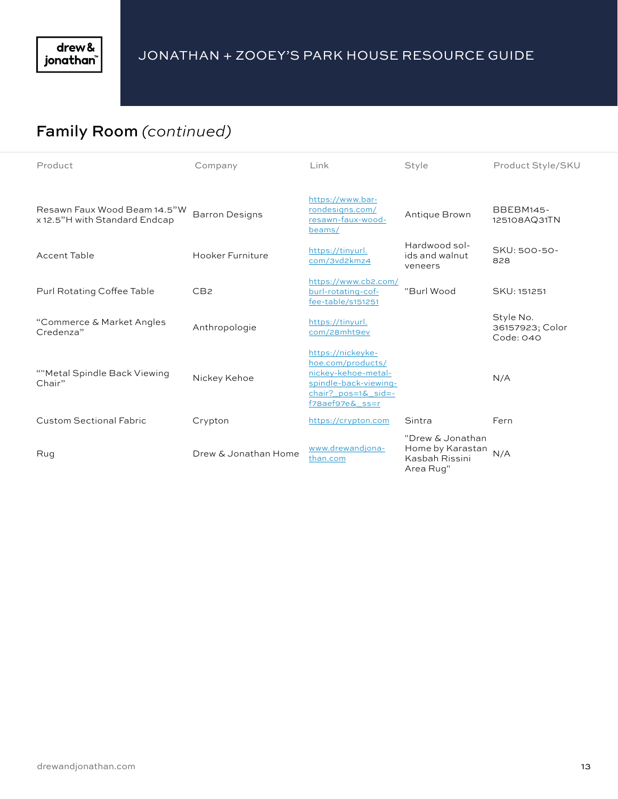

# Family Room *(continued)*

| Product                                                       | Company               | Link                                                                                                                                        | Style                                                               | Product Style/SKU                         |
|---------------------------------------------------------------|-----------------------|---------------------------------------------------------------------------------------------------------------------------------------------|---------------------------------------------------------------------|-------------------------------------------|
| Resawn Faux Wood Beam 14.5"W<br>x 12.5"H with Standard Endcap | <b>Barron Designs</b> | https://www.bar-<br>rondesigns.com/<br>resawn-faux-wood-<br>beams/                                                                          | Antique Brown                                                       | <b>BBEBM145-</b><br>125108AQ31TN          |
| <b>Accent Table</b>                                           | Hooker Furniture      | https://tinyurl.<br>com/3vd2kmz4                                                                                                            | Hardwood sol-<br>ids and walnut<br>veneers                          | SKU: 500-50-<br>828                       |
| Purl Rotating Coffee Table                                    | CB <sub>2</sub>       | https://www.cb2.com/<br>burl-rotating-cof-<br>fee-table/s151251                                                                             | "Burl Wood                                                          | SKU: 151251                               |
| "Commerce & Market Angles<br>Credenza"                        | Anthropologie         | https://tinyurl.<br>com/28mht9ev                                                                                                            |                                                                     | Style No.<br>36157923; Color<br>Code: 040 |
| ""Metal Spindle Back Viewing<br>Chair"                        | Nickey Kehoe          | https://nickeyke-<br>hoe.com/products/<br>nickey-kehoe-metal-<br>spindle-back-viewing-<br>chair? pos=1& sid=-<br>$f$ 78ae $f$ 97e $\&$ ss=r |                                                                     | N/A                                       |
| <b>Custom Sectional Fabric</b>                                | Crypton               | https://crypton.com                                                                                                                         | Sintra                                                              | Fern                                      |
| Rug                                                           | Drew & Jonathan Home  | www.drewandjona-<br>than.com                                                                                                                | "Drew & Jonathan<br>Home by Karastan<br>Kasbah Rissini<br>Area Rug" | N/A                                       |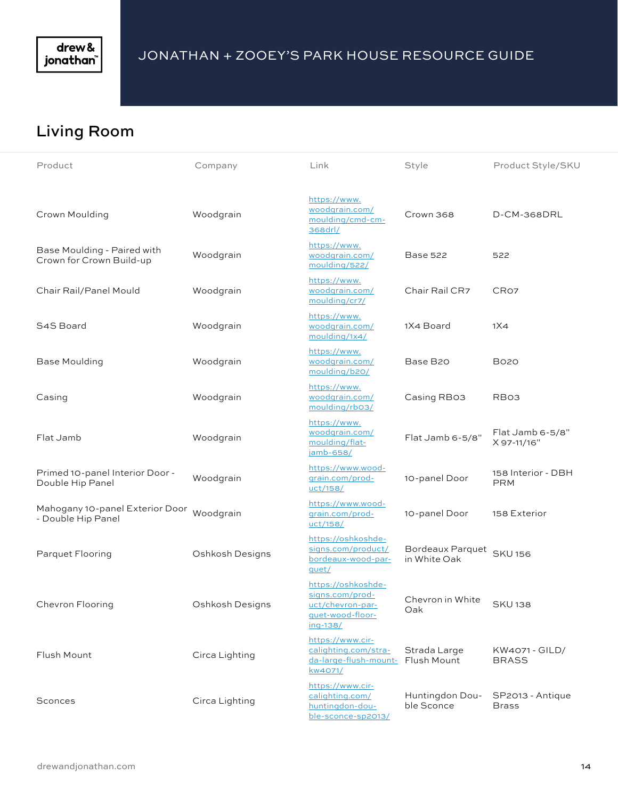

## Living Room

| Product                                                 | Company         | Link                                                                                      | Style                            | Product Style/SKU                |
|---------------------------------------------------------|-----------------|-------------------------------------------------------------------------------------------|----------------------------------|----------------------------------|
| Crown Moulding                                          | Woodgrain       | https://www.<br>woodgrain.com/<br>moulding/cmd-cm-<br>368drl/                             | Crown 368                        | D-CM-368DRL                      |
| Base Moulding - Paired with<br>Crown for Crown Build-up | Woodgrain       | https://www.<br>woodgrain.com/<br>moulding/522/                                           | Base 522                         | 522                              |
| Chair Rail/Panel Mould                                  | Woodgrain       | https://www.<br>woodgrain.com/<br>moulding/cr7/                                           | Chair Rail CR7                   | CR <sub>O7</sub>                 |
| S4S Board                                               | Woodgrain       | https://www.<br>woodgrain.com/<br>moulding/1x4/                                           | 1X4 Board                        | 1X4                              |
| <b>Base Moulding</b>                                    | Woodgrain       | https://www.<br>woodgrain.com/<br>moulding/b20/                                           | Base B20                         | <b>B020</b>                      |
| Casing                                                  | Woodgrain       | https://www.<br>woodgrain.com/<br>moulding/rb03/                                          | Casing RB03                      | RB <sub>O3</sub>                 |
| Flat Jamb                                               | Woodgrain       | https://www.<br>woodgrain.com/<br>moulding/flat-<br>jamb-658/                             | Flat Jamb 6-5/8"                 | Flat Jamb 6-5/8"<br>X 97-11/16"  |
| Primed 10-panel Interior Door -<br>Double Hip Panel     | Woodgrain       | https://www.wood-<br>grain.com/prod-<br>uct/158/                                          | 10-panel Door                    | 158 Interior - DBH<br><b>PRM</b> |
| Mahogany 10-panel Exterior Door<br>- Double Hip Panel   | Woodgrain       | https://www.wood-<br>grain.com/prod-<br><u>uct/158/</u>                                   | 10-panel Door                    | 158 Exterior                     |
| Parquet Flooring                                        | Oshkosh Designs | https://oshkoshde-<br>signs.com/product/<br>bordeaux-wood-par-<br>quet/                   | Bordeaux Parquet<br>in White Oak | <b>SKU156</b>                    |
| Chevron Flooring                                        | Oshkosh Designs | https://oshkoshde-<br>signs.com/prod-<br>uct/chevron-par-<br>quet-wood-floor-<br>ing-138/ | Chevron in White<br>Oak          | <b>SKU138</b>                    |
| Flush Mount                                             | Circa Lighting  | https://www.cir-<br>calighting.com/stra-<br>da-large-flush-mount- Flush Mount<br>kw4071/  | Strada Large                     | KW4071 - GILD/<br><b>BRASS</b>   |
| Sconces                                                 | Circa Lighting  | https://www.cir-<br>calighting.com/<br>huntingdon-dou-<br>ble-sconce-sp2013/              | Huntingdon Dou-<br>ble Sconce    | SP2013 - Antique<br><b>Brass</b> |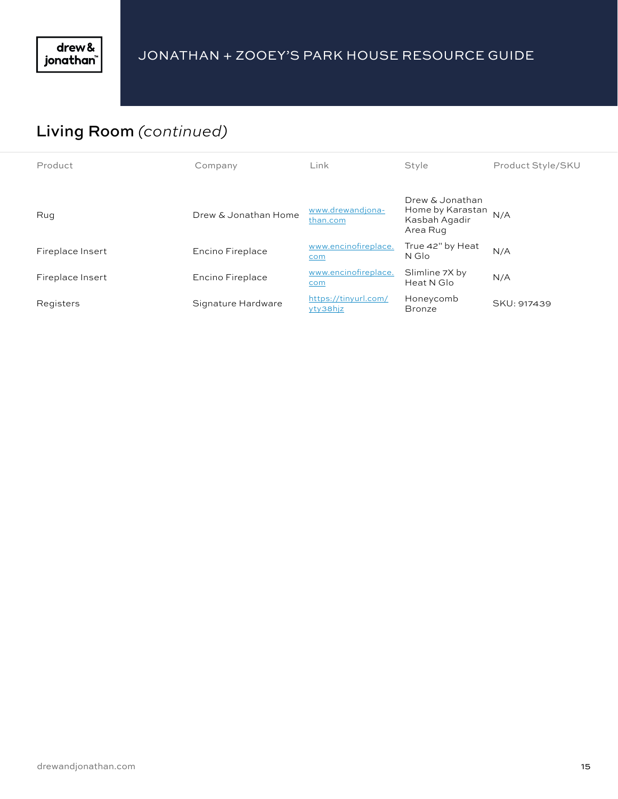# Living Room *(continued)*

| Product          | Company              | Link                             | Style                                                            | Product Style/SKU |
|------------------|----------------------|----------------------------------|------------------------------------------------------------------|-------------------|
| Rug              | Drew & Jonathan Home | www.drewandjona-<br>than.com     | Drew & Jonathan<br>Home by Karastan<br>Kasbah Agadir<br>Area Rug | N/A               |
| Fireplace Insert | Encino Fireplace     | www.encinofireplace.<br>com      | True 42" by Heat<br>N Glo                                        | N/A               |
| Fireplace Insert | Encino Fireplace     | www.encinofireplace.<br>com      | Slimline 7X by<br>Heat N Glo                                     | N/A               |
| Registers        | Signature Hardware   | https://tinyurl.com/<br>yty38hjz | Honeycomb<br><b>Bronze</b>                                       | SKU: 917439       |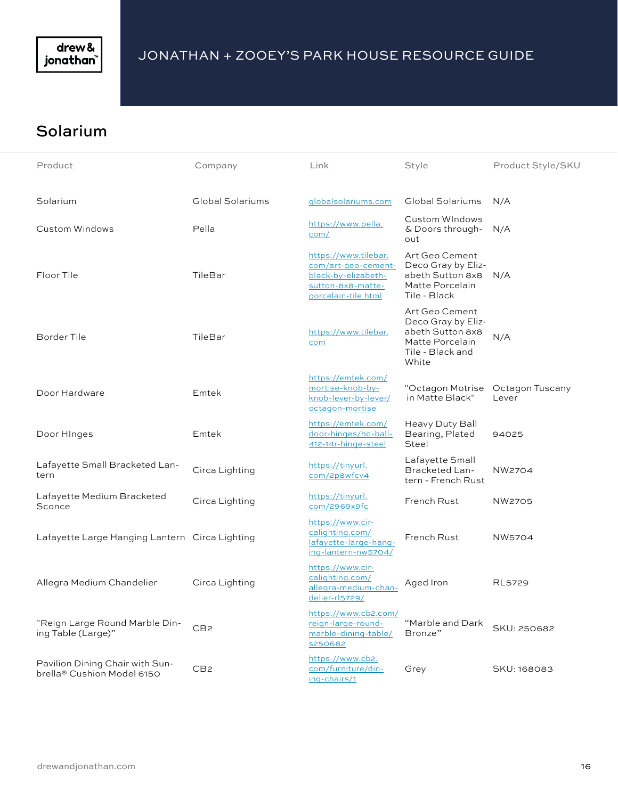

#### Solarium

| Product                                                       | Company          | Link                                                                                                           | Style                                                                                                    | Product Style/SKU        |
|---------------------------------------------------------------|------------------|----------------------------------------------------------------------------------------------------------------|----------------------------------------------------------------------------------------------------------|--------------------------|
|                                                               |                  |                                                                                                                |                                                                                                          |                          |
| Solarium                                                      | Global Solariums | globalsolariums.com                                                                                            | Global Solariums                                                                                         | N/A                      |
| Custom Windows                                                | Pella            | https://www.pella.<br>com/                                                                                     | Custom WIndows<br>& Doors through-<br>out                                                                | N/A                      |
| Floor Tile                                                    | TileBar          | https://www.tilebar.<br>com/art-geo-cement-<br>black-by-elizabeth-<br>sutton-8x8-matte-<br>porcelain-tile.html | Art Geo Cement<br>Deco Gray by Eliz-<br>abeth Sutton 8x8<br>Matte Porcelain<br>Tile - Black              | N/A                      |
| Border Tile                                                   | TileBar          | https://www.tilebar.<br>com                                                                                    | Art Geo Cement<br>Deco Gray by Eliz-<br>abeth Sutton 8x8<br>Matte Porcelain<br>Tile - Black and<br>White | N/A                      |
| Door Hardware                                                 | Emtek            | https://emtek.com/<br>mortise-knob-by-<br>knob-lever-by-lever/<br>octagon-mortise                              | "Octagon Motrise<br>in Matte Black"                                                                      | Octagon Tuscany<br>Lever |
| Door Hinges                                                   | Emtek            | https://emtek.com/<br>door-hinges/hd-ball-<br>412-14r-hinge-steel                                              | Heavy Duty Ball<br>Bearing, Plated<br>Steel                                                              | 94025                    |
| Lafayette Small Bracketed Lan-<br>tern                        | Circa Lighting   | https://tinyurl.<br>com/2p8wfcv4                                                                               | Lafayette Small<br><b>Bracketed Lan-</b><br>tern - French Rust                                           | NW2704                   |
| Lafayette Medium Bracketed<br>Sconce                          | Circa Lighting   | https://tinyurl.<br>com/2969x9fc                                                                               | French Rust                                                                                              | <b>NW2705</b>            |
| Lafayette Large Hanging Lantern Circa Lighting                |                  | https://www.cir-<br>calighting.com/<br>lafayette-large-hang-<br>ing-lantern-nw5704/                            | French Rust                                                                                              | <b>NW5704</b>            |
| Allegra Medium Chandelier                                     | Circa Lighting   | https://www.cir-<br>calighting.com/<br>allegra-medium-chan-<br>delier-rl5729/                                  | Aged Iron                                                                                                | <b>RL5729</b>            |
| "Reign Large Round Marble Din-<br>ing Table (Large)"          | CB <sub>2</sub>  | https://www.cb2.com/<br>reign-large-round-<br>marble-dining-table/<br>s250682                                  | "Marble and Dark<br>Bronze"                                                                              | SKU: 250682              |
| Pavilion Dining Chair with Sun-<br>brella® Cushion Model 6150 | CB <sub>2</sub>  | https://www.cb2.<br>com/furniture/din-<br>ing-chairs/1                                                         | Grey                                                                                                     | SKU: 168083              |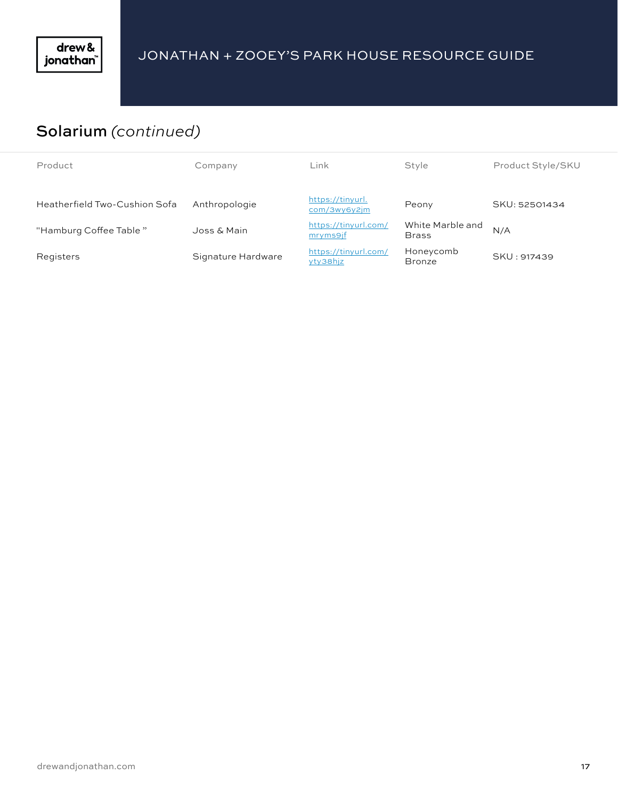

## Solarium *(continued)*

| Product                       | Company            | Link                             | Style                            | Product Style/SKU |
|-------------------------------|--------------------|----------------------------------|----------------------------------|-------------------|
|                               |                    |                                  |                                  |                   |
| Heatherfield Two-Cushion Sofa | Anthropologie      | https://tinyurl.<br>com/3wy6y2jm | Peony                            | SKU: 52501434     |
| "Hamburg Coffee Table"        | Joss & Main        | https://tinyurl.com/<br>mryms9jf | White Marble and<br><b>Brass</b> | N/A               |
| Registers                     | Signature Hardware | https://tinyurl.com/<br>yty38hjz | Honeycomb<br><b>Bronze</b>       | SKU: 917439       |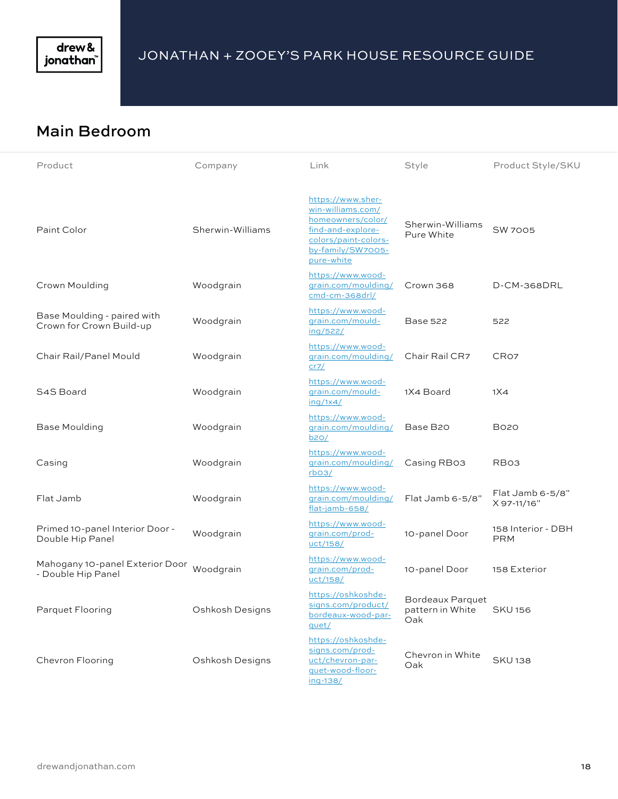

#### Main Bedroom

| Product                                                 | Company          | Link                                                                                                                                        | Style                                       | Product Style/SKU                 |
|---------------------------------------------------------|------------------|---------------------------------------------------------------------------------------------------------------------------------------------|---------------------------------------------|-----------------------------------|
| Paint Color                                             | Sherwin-Williams | https://www.sher-<br>win-williams.com/<br>homeowners/color/<br>find-and-explore-<br>colors/paint-colors-<br>by-family/SW7005-<br>pure-white | Sherwin-Williams<br>Pure White              | <b>SW 7005</b>                    |
| Crown Moulding                                          | Woodgrain        | https://www.wood-<br>grain.com/moulding/<br>cmd-cm-368drl/                                                                                  | Crown 368                                   | D-CM-368DRL                       |
| Base Moulding - paired with<br>Crown for Crown Build-up | Woodgrain        | https://www.wood-<br>grain.com/mould-<br>ing/522/                                                                                           | <b>Base 522</b>                             | 522                               |
| Chair Rail/Panel Mould                                  | Woodgrain        | https://www.wood-<br>grain.com/moulding/<br>cr7/                                                                                            | Chair Rail CR7                              | CR <sub>O7</sub>                  |
| S4S Board                                               | Woodgrain        | https://www.wood-<br>grain.com/mould-<br>inq/1x4/                                                                                           | 1X4 Board                                   | 1X4                               |
| Base Moulding                                           | Woodgrain        | https://www.wood-<br>grain.com/moulding/<br>b20/                                                                                            | Base B20                                    | <b>B020</b>                       |
| Casing                                                  | Woodgrain        | https://www.wood-<br>grain.com/moulding/<br>rbo3/                                                                                           | Casing RB03                                 | RB <sub>O3</sub>                  |
| Flat Jamb                                               | Woodgrain        | https://www.wood-<br>grain.com/moulding/<br>flat-jamb-658/                                                                                  | Flat Jamb 6-5/8"                            | $Flat$ Jamb 6-5/8"<br>X 97-11/16" |
| Primed 10-panel Interior Door -<br>Double Hip Panel     | Woodgrain        | https://www.wood-<br>grain.com/prod-<br>uct/158/                                                                                            | 10-panel Door                               | 158 Interior - DBH<br><b>PRM</b>  |
| Mahogany 10-panel Exterior Door<br>- Double Hip Panel   | Woodgrain        | https://www.wood-<br>grain.com/prod-<br>uct/158/                                                                                            | 10-panel Door                               | 158 Exterior                      |
| Parquet Flooring                                        | Oshkosh Designs  | https://oshkoshde-<br>signs.com/product/<br>bordeaux-wood-par-<br>quet/                                                                     | Bordeaux Parquet<br>pattern in White<br>Oak | <b>SKU156</b>                     |
| Chevron Flooring                                        | Oshkosh Designs  | https://oshkoshde-<br>signs.com/prod-<br>uct/chevron-par-<br>quet-wood-floor-<br>ing-138/                                                   | Chevron in White<br>Oak                     | <b>SKU138</b>                     |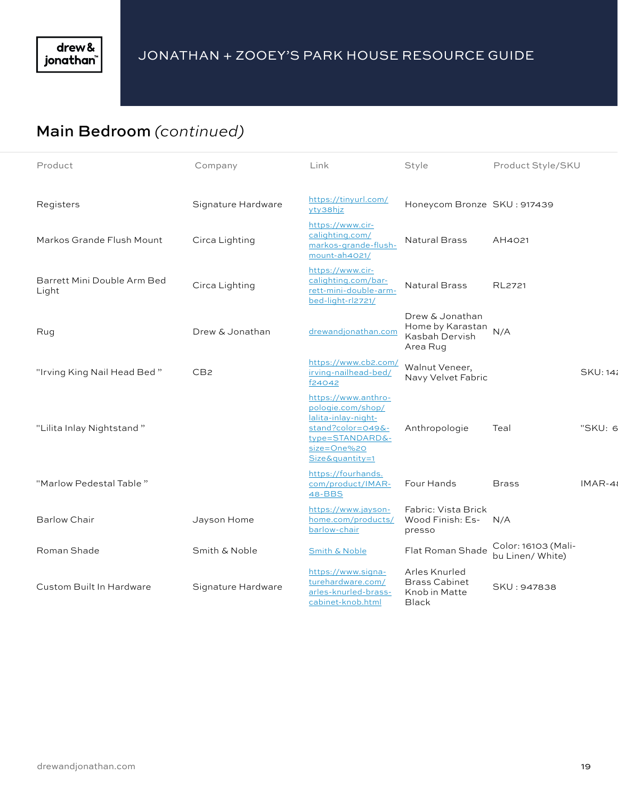# Main Bedroom *(continued)*

| Product                              | Company            | Link                                                                                                                                      | Style                                                             | Product Style/SKU                       |                 |
|--------------------------------------|--------------------|-------------------------------------------------------------------------------------------------------------------------------------------|-------------------------------------------------------------------|-----------------------------------------|-----------------|
| Registers                            | Signature Hardware | https://tinyurl.com/<br>yty38hjz                                                                                                          | Honeycom Bronze SKU: 917439                                       |                                         |                 |
| Markos Grande Flush Mount            | Circa Lighting     | https://www.cir-<br>calighting.com/<br>markos-grande-flush-<br>mount-ah4021/                                                              | <b>Natural Brass</b>                                              | AH4021                                  |                 |
| Barrett Mini Double Arm Bed<br>Light | Circa Lighting     | https://www.cir-<br>calighting.com/bar-<br>rett-mini-double-arm-<br>bed-light-rl2721/                                                     | <b>Natural Brass</b>                                              | RL2721                                  |                 |
| Rug                                  | Drew & Jonathan    | drewandjonathan.com                                                                                                                       | Drew & Jonathan<br>Home by Karastan<br>Kasbah Dervish<br>Area Rug | N/A                                     |                 |
| "Irving King Nail Head Bed"          | CB <sub>2</sub>    | https://www.cb2.com/<br>irving-nailhead-bed/<br>f24042                                                                                    | Walnut Veneer,<br>Navy Velvet Fabric                              |                                         | <b>SKU: 142</b> |
| "Lilita Inlay Nightstand"            |                    | https://www.anthro-<br>pologie.com/shop/<br>lalita-inlay-night-<br>stand?color=049&-<br>type=STANDARD&-<br>size=One%20<br>Size&quantity=1 | Anthropologie                                                     | Teal                                    | "SKU: 6         |
| "Marlow Pedestal Table"              |                    | https://fourhands.<br>com/product/IMAR-<br>48-BBS                                                                                         | Four Hands                                                        | <b>Brass</b>                            | $IMAR-48$       |
| <b>Barlow Chair</b>                  | Jayson Home        | https://www.jayson-<br>home.com/products/<br>barlow-chair                                                                                 | Fabric: Vista Brick<br>Wood Finish: Es-<br>presso                 | N/A                                     |                 |
| Roman Shade                          | Smith & Noble      | Smith & Noble                                                                                                                             | Flat Roman Shade                                                  | Color: 16103 (Mali-<br>bu Linen/ White) |                 |
| <b>Custom Built In Hardware</b>      | Signature Hardware | https://www.signa-<br>turehardware.com/<br>arles-knurled-brass-<br>cabinet-knob.html                                                      | Arles Knurled<br><b>Brass Cabinet</b><br>Knob in Matte<br>Black   | SKU: 947838                             |                 |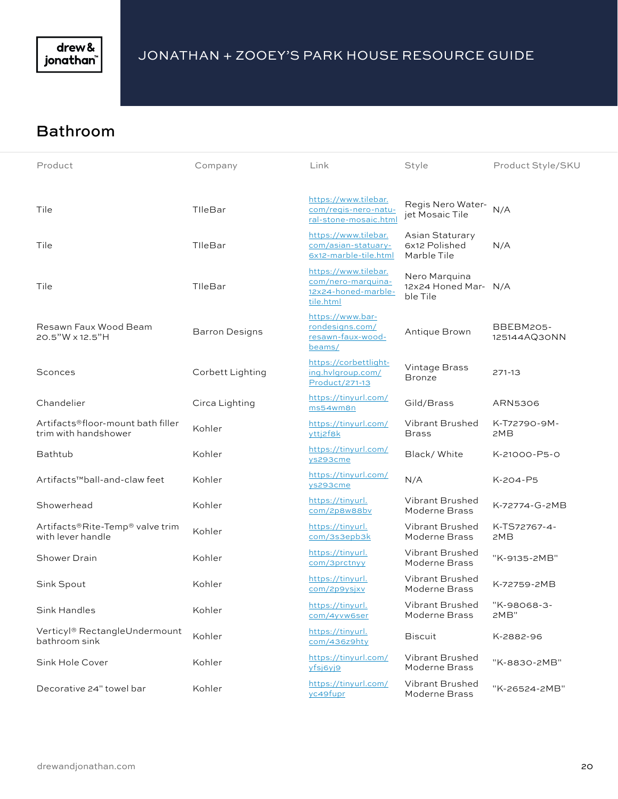

#### Bathroom

| Product                                                   | Company               | Link                                                                           | Style                                             | Product Style/SKU         |
|-----------------------------------------------------------|-----------------------|--------------------------------------------------------------------------------|---------------------------------------------------|---------------------------|
| Tile                                                      | TIleBar               | https://www.tilebar.<br>com/regis-nero-natu-<br>ral-stone-mosaic.html          | Regis Nero Water-<br>jet Mosaic Tile              | N/A                       |
| Tile                                                      | TIleBar               | https://www.tilebar.<br>com/asian-statuary-<br>6x12-marble-tile.html           | Asian Staturary<br>6x12 Polished<br>Marble Tile   | N/A                       |
| Tile                                                      | TIleBar               | https://www.tilebar.<br>com/nero-marquina-<br>12x24-honed-marble-<br>tile.html | Nero Marquina<br>12x24 Honed Mar- N/A<br>ble Tile |                           |
| Resawn Faux Wood Beam<br>20.5"W x 12.5"H                  | <b>Barron Designs</b> | https://www.bar-<br>rondesigns.com/<br>resawn-faux-wood-<br>beams/             | Antique Brown                                     | BBEBM205-<br>125144AQ30NN |
| Sconces                                                   | Corbett Lighting      | https://corbettlight-<br>ing.hvlgroup.com/<br>Product/271-13                   | Vintage Brass<br><b>Bronze</b>                    | 271-13                    |
| Chandelier                                                | Circa Lighting        | https://tinyurl.com/<br>ms54wm8n                                               | Gild/Brass                                        | ARN5306                   |
| Artifacts®floor-mount bath filler<br>trim with handshower | Kohler                | https://tinyurl.com/<br>yttj2f8k                                               | Vibrant Brushed<br><b>Brass</b>                   | K-T72790-9M-<br>2MB       |
| <b>Bathtub</b>                                            | Kohler                | https://tinyurl.com/<br>ys293cme                                               | Black/White                                       | K-21000-P5-0              |
| Artifacts <sup>™</sup> ball-and-claw feet                 | Kohler                | https://tinyurl.com/<br>ys293cme                                               | N/A                                               | K-204-P5                  |
| Showerhead                                                | Kohler                | https://tinyurl.<br>com/2p8w88bv                                               | Vibrant Brushed<br>Moderne Brass                  | K-72774-G-2MB             |
| Artifacts®Rite-Temp® valve trim<br>with lever handle      | Kohler                | https://tinyurl.<br>com/3s3epb3k                                               | Vibrant Brushed<br>Moderne Brass                  | K-TS72767-4-<br>2MB       |
| Shower Drain                                              | Kohler                | https://tinyurl.<br>com/3prctnyy                                               | Vibrant Brushed<br>Moderne Brass                  | "K-9135-2MB"              |
| Sink Spout                                                | Kohler                | https://tinyurl.<br>com/2p9ysjxv                                               | Vibrant Brushed<br>Moderne Brass                  | K-72759-2MB               |
| Sink Handles                                              | Kohler                | https://tinyurl.<br>com/4yvw6ser                                               | Vibrant Brushed<br>Moderne Brass                  | "K-98068-3-<br>2MB"       |
| Verticyl® RectangleUndermount<br>bathroom sink            | Kohler                | https://tinyurl.<br>com/436z9hty                                               | <b>Biscuit</b>                                    | K-2882-96                 |
| Sink Hole Cover                                           | Kohler                | https://tinyurl.com/<br>yfsj6yj9                                               | Vibrant Brushed<br>Moderne Brass                  | "K-8830-2MB"              |
| Decorative 24" towel bar                                  | Kohler                | https://tinyurl.com/<br>yc49fupr                                               | Vibrant Brushed<br>Moderne Brass                  | "K-26524-2MB"             |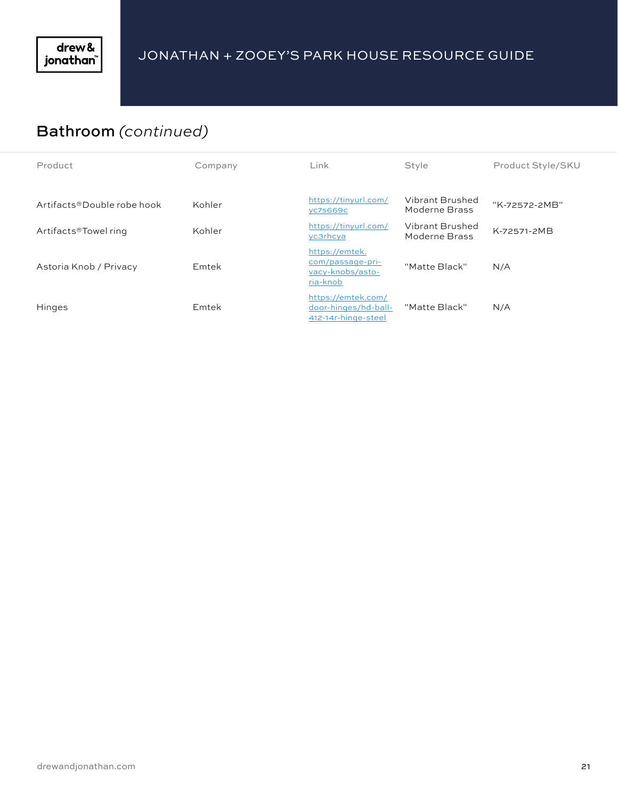## Bathroom *(continued)*

| Product                    | Company | Link                                                               | Style                            | Product Style/SKU |
|----------------------------|---------|--------------------------------------------------------------------|----------------------------------|-------------------|
| Artifacts®Double robe hook | Kohler  | https://tinyurl.com/<br><b>VC7S669C</b>                            | Vibrant Brushed<br>Moderne Brass | "K-72572-2MB"     |
| Artifacts®Towel ring       | Kohler  | https://tinyurl.com/<br>yc3rhcya                                   | Vibrant Brushed<br>Moderne Brass | K-72571-2MB       |
| Astoria Knob / Privacy     | Emtek   | https://emtek.<br>com/passage-pri-<br>vacy-knobs/asto-<br>ria-knob | "Matte Black"                    | N/A               |
| Hinges                     | Emtek   | https://emtek.com/<br>door-hinges/hd-ball-<br>412-14r-hinge-steel  | "Matte Black"                    | N/A               |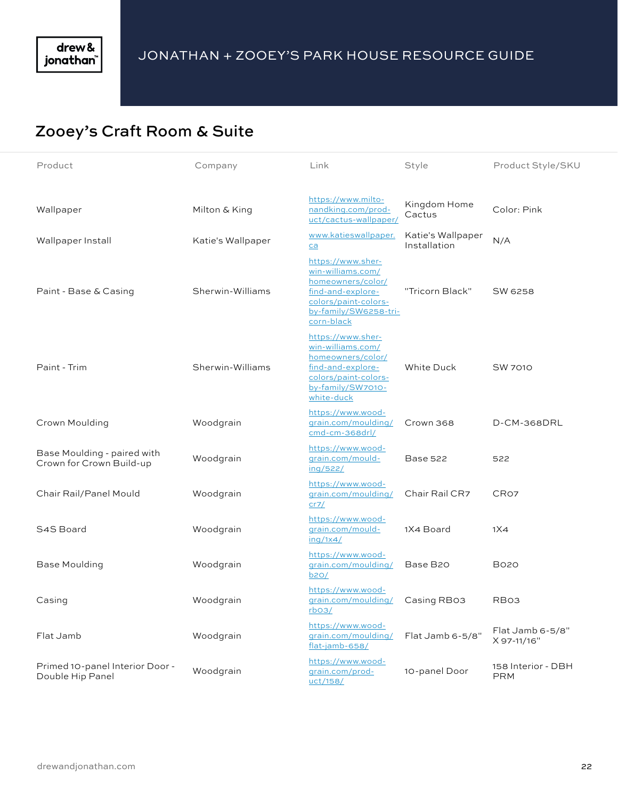#### Zooey's Craft Room & Suite

| Product                                                 | Company           | Link                                                                                                                                            | Style                             | Product Style/SKU                |
|---------------------------------------------------------|-------------------|-------------------------------------------------------------------------------------------------------------------------------------------------|-----------------------------------|----------------------------------|
| Wallpaper                                               | Milton & King     | https://www.milto-<br>nandking.com/prod-                                                                                                        | Kingdom Home<br>Cactus            | Color: Pink                      |
| Wallpaper Install                                       | Katie's Wallpaper | uct/cactus-wallpaper/<br>www.katieswallpaper.<br>ca                                                                                             | Katie's Wallpaper<br>Installation | N/A                              |
| Paint - Base & Casing                                   | Sherwin-Williams  | https://www.sher-<br>win-williams.com/<br>homeowners/color/<br>find-and-explore-<br>colors/paint-colors-<br>by-family/SW6258-tri-<br>corn-black | "Tricorn Black"                   | SW 6258                          |
| Paint - Trim                                            | Sherwin-Williams  | https://www.sher-<br>win-williams.com/<br>homeowners/color/<br>find-and-explore-<br>colors/paint-colors-<br>by-family/SW7010-<br>white-duck     | White Duck                        | <b>SW 7010</b>                   |
| Crown Moulding                                          | Woodgrain         | https://www.wood-<br>grain.com/moulding/<br>cmd-cm-368drl/                                                                                      | Crown 368                         | D-CM-368DRL                      |
| Base Moulding - paired with<br>Crown for Crown Build-up | Woodgrain         | https://www.wood-<br>grain.com/mould-<br>ing/522/                                                                                               | <b>Base 522</b>                   | 522                              |
| Chair Rail/Panel Mould                                  | Woodgrain         | https://www.wood-<br>grain.com/moulding/<br>cr7/                                                                                                | Chair Rail CR7                    | CR <sub>O7</sub>                 |
| S4S Board                                               | Woodgrain         | https://www.wood-<br>grain.com/mould-<br>$\frac{\ln q}{1 \times 4}$                                                                             | 1X4 Board                         | 1X4                              |
| <b>Base Moulding</b>                                    | Woodgrain         | https://www.wood-<br>grain.com/moulding/<br>b20/                                                                                                | Base B20                          | <b>B020</b>                      |
| Casing                                                  | Woodgrain         | https://www.wood-<br>grain.com/moulding/<br>rbo3/                                                                                               | Casing RB03                       | RB <sub>O3</sub>                 |
| Flat Jamb                                               | Woodgrain         | https://www.wood-<br>grain.com/moulding/<br>flat-jamb-658/                                                                                      | Flat Jamb 6-5/8"                  | Flat Jamb 6-5/8"<br>X 97-11/16"  |
| Primed 10-panel Interior Door -<br>Double Hip Panel     | Woodgrain         | https://www.wood-<br>grain.com/prod-<br>uct/158/                                                                                                | 10-panel Door                     | 158 Interior - DBH<br><b>PRM</b> |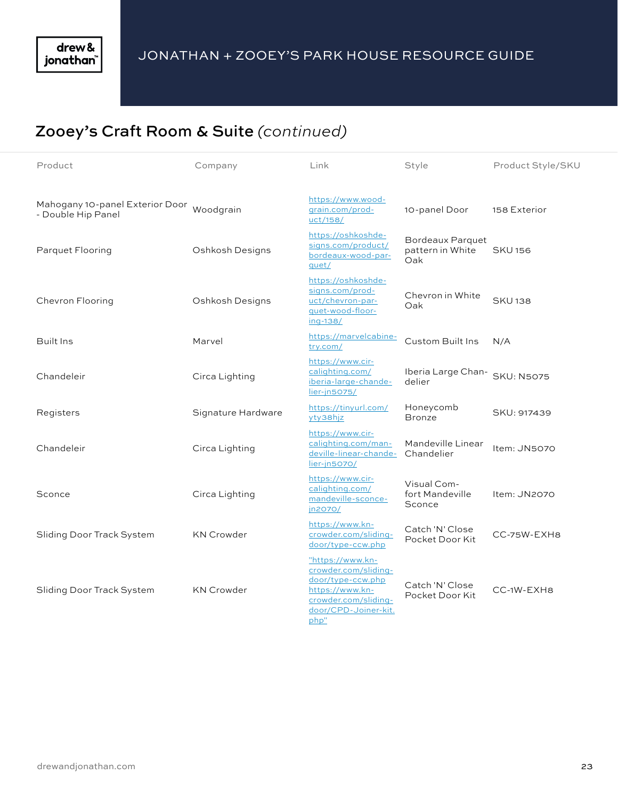# Zooey's Craft Room & Suite *(continued)*

| Product                                                         | Company            | Link                                                                                                                                     | Style                                              | Product Style/SKU |
|-----------------------------------------------------------------|--------------------|------------------------------------------------------------------------------------------------------------------------------------------|----------------------------------------------------|-------------------|
| Mahogany 10-panel Exterior Door Woodgrain<br>- Double Hip Panel |                    | https://www.wood-<br>grain.com/prod-<br>uct/158/                                                                                         | 10-panel Door                                      | 158 Exterior      |
| Parquet Flooring                                                | Oshkosh Designs    | https://oshkoshde-<br>signs.com/product/<br>bordeaux-wood-par-<br>quet/                                                                  | <b>Bordeaux Parquet</b><br>pattern in White<br>Oak | <b>SKU156</b>     |
| Chevron Flooring                                                | Oshkosh Designs    | https://oshkoshde-<br>signs.com/prod-<br>uct/chevron-par-<br>quet-wood-floor-<br>ing-138/                                                | Chevron in White<br>Oak                            | <b>SKU138</b>     |
| Built Ins                                                       | Marvel             | https://marvelcabine-<br>try.com/                                                                                                        | Custom Built Ins                                   | N/A               |
| Chandeleir                                                      | Circa Lighting     | https://www.cir-<br>calighting.com/<br>iberia-large-chande-<br>lier-jn5075/                                                              | Iberia Large Chan-<br>delier                       | <b>SKU: N5075</b> |
| Registers                                                       | Signature Hardware | https://tinyurl.com/<br>yty38hjz                                                                                                         | Honeycomb<br><b>Bronze</b>                         | SKU: 917439       |
| Chandeleir                                                      | Circa Lighting     | https://www.cir-<br>calighting.com/man-<br>deville-linear-chande-<br>lier-jn5070/                                                        | Mandeville Linear<br>Chandelier                    | Item: JN5070      |
| Sconce                                                          | Circa Lighting     | https://www.cir-<br>calighting.com/<br>mandeville-sconce-<br>jn2070/                                                                     | Visual Com-<br>fort Mandeville<br>Sconce           | Item: JN2070      |
| Sliding Door Track System                                       | <b>KN Crowder</b>  | https://www.kn-<br>crowder.com/sliding-<br>door/type-ccw.php                                                                             | Catch 'N' Close<br>Pocket Door Kit                 | CC-75W-EXH8       |
| Sliding Door Track System                                       | <b>KN Crowder</b>  | "https://www.kn-<br>crowder.com/sliding-<br>door/type-ccw.php<br>https://www.kn-<br>crowder.com/sliding-<br>door/CPD-Joiner-kit.<br>php" | Catch 'N' Close<br>Pocket Door Kit                 | CC-1W-EXH8        |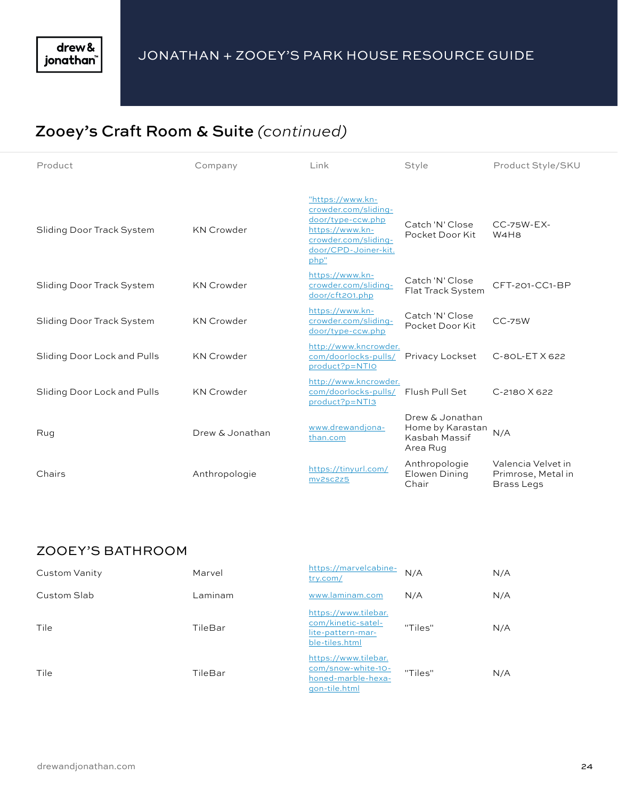# Zooey's Craft Room & Suite *(continued)*

| Product                     | Company           | Link                                                                                                                                     | Style                                                            | Product Style/SKU                                             |
|-----------------------------|-------------------|------------------------------------------------------------------------------------------------------------------------------------------|------------------------------------------------------------------|---------------------------------------------------------------|
| Sliding Door Track System   | <b>KN Crowder</b> | "https://www.kn-<br>crowder.com/sliding-<br>door/type-ccw.php<br>https://www.kn-<br>crowder.com/sliding-<br>door/CPD-Joiner-kit.<br>php" | Catch 'N' Close<br>Pocket Door Kit                               | $CC-75W-EX-$<br>W <sub>4</sub> H <sub>8</sub>                 |
| Sliding Door Track System   | <b>KN Crowder</b> | https://www.kn-<br>crowder.com/sliding-<br>door/cft201.php                                                                               | Catch 'N' Close<br>Flat Track System                             | CFT-201-CC1-BP                                                |
| Sliding Door Track System   | <b>KN Crowder</b> | https://www.kn-<br>crowder.com/sliding-<br>door/type-ccw.php                                                                             | Catch 'N' Close<br>Pocket Door Kit                               | $CC-75W$                                                      |
| Sliding Door Lock and Pulls | <b>KN Crowder</b> | http://www.kncrowder.<br>com/doorlocks-pulls/<br>product?p=NTIO                                                                          | Privacy Lockset                                                  | $C-80L-ETX622$                                                |
| Sliding Door Lock and Pulls | <b>KN Crowder</b> | http://www.kncrowder.<br>com/doorlocks-pulls/<br>product?p=NTI3                                                                          | Flush Pull Set                                                   | $C-2180X622$                                                  |
| Rug                         | Drew & Jonathan   | www.drewandjona-<br>than.com                                                                                                             | Drew & Jonathan<br>Home by Karastan<br>Kasbah Massif<br>Area Rug | N/A                                                           |
| Chairs                      | Anthropologie     | https://tinyurl.com/<br>mv2sc2z5                                                                                                         | Anthropologie<br>Elowen Dining<br>Chair                          | Valencia Velvet in<br>Primrose, Metal in<br><b>Brass Legs</b> |

#### ZOOEY'S BATHROOM

| Custom Vanity | Marvel  | https://marvelcabine-<br>try.com/                                                 | N/A     | N/A |
|---------------|---------|-----------------------------------------------------------------------------------|---------|-----|
| Custom Slab   | Laminam | www.laminam.com                                                                   | N/A     | N/A |
| Tile          | TileBar | https://www.tilebar.<br>com/kinetic-satel-<br>lite-pattern-mar-<br>ble-tiles.html | "Tiles" | N/A |
| Tile          | TileBar | https://www.tilebar.<br>com/snow-white-10-<br>honed-marble-hexa-<br>gon-tile.html | "Tiles" | N/A |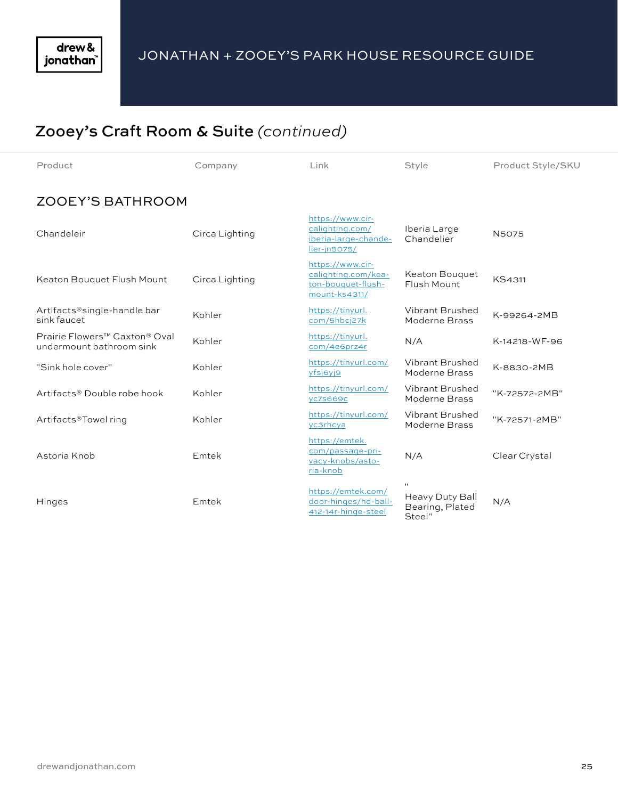# Zooey's Craft Room & Suite *(continued)*

| Product                                                               | Company        | Link                                                                           | Style                                        | Product Style/SKU |
|-----------------------------------------------------------------------|----------------|--------------------------------------------------------------------------------|----------------------------------------------|-------------------|
| <b>ZOOEY'S BATHROOM</b>                                               |                |                                                                                |                                              |                   |
| Chandeleir                                                            | Circa Lighting | https://www.cir-<br>calighting.com/<br>iberia-large-chande-<br>lier-jn5075/    | Iberia Large<br>Chandelier                   | <b>N5075</b>      |
| Keaton Bouquet Flush Mount                                            | Circa Lighting | https://www.cir-<br>calighting.com/kea-<br>ton-bouquet-flush-<br>mount-ks4311/ | Keaton Bouquet<br>Flush Mount                | KS4311            |
| Artifacts®single-handle bar<br>sink faucet                            | Kohler         | https://tinyurl.<br>com/5hbcj27k                                               | Vibrant Brushed<br>Moderne Brass             | K-99264-2MB       |
| Prairie Flowers <sup>™</sup> Caxton® Oval<br>undermount bathroom sink | Kohler         | https://tinyurl.<br>com/4e6prz4r                                               | N/A                                          | K-14218-WF-96     |
| "Sink hole cover"                                                     | Kohler         | https://tinyurl.com/<br>yfsj6yj9                                               | Vibrant Brushed<br>Moderne Brass             | K-8830-2MB        |
| Artifacts <sup>®</sup> Double robe hook                               | Kohler         | https://tinyurl.com/<br>yc7s669c                                               | Vibrant Brushed<br>Moderne Brass             | "K-72572-2MB"     |
| Artifacts®Towel ring                                                  | Kohler         | https://tinyurl.com/<br>yc3rhcya                                               | Vibrant Brushed<br>Moderne Brass             | "K-72571-2MB"     |
| Astoria Knob                                                          | Emtek          | https://emtek.<br>com/passage-pri-<br>vacy-knobs/asto-<br>ria-knob             | N/A                                          | Clear Crystal     |
| Hinges                                                                | Emtek          | https://emtek.com/<br>door-hinges/hd-ball-<br>412-14r-hinge-steel              | Heavy Duty Ball<br>Bearing, Plated<br>Steel" | N/A               |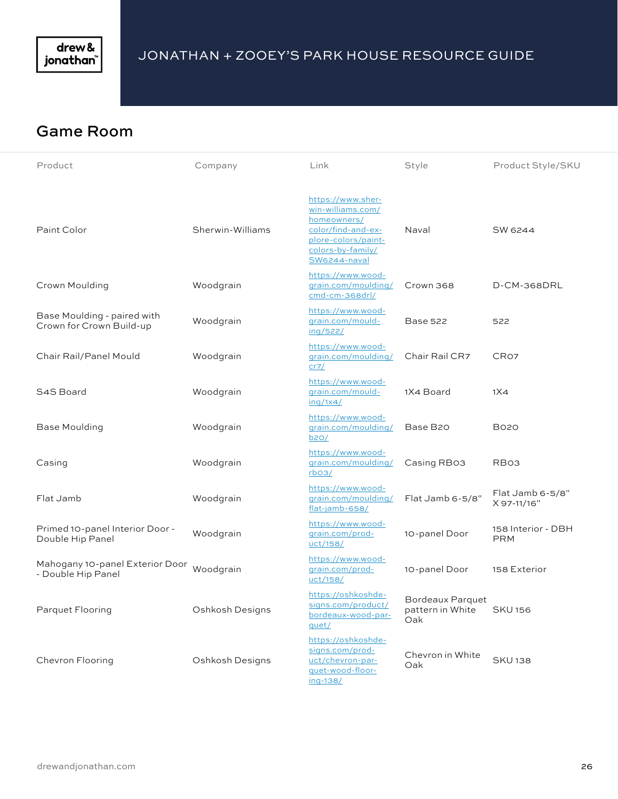

#### Game Room

| Product                                                 | Company          | Link                                                                                                                                    | Style                                       | Product Style/SKU                |
|---------------------------------------------------------|------------------|-----------------------------------------------------------------------------------------------------------------------------------------|---------------------------------------------|----------------------------------|
| Paint Color                                             | Sherwin-Williams | https://www.sher-<br>win-williams.com/<br>homeowners/<br>color/find-and-ex-<br>plore-colors/paint-<br>colors-by-family/<br>SW6244-naval | Naval                                       | SW 6244                          |
| Crown Moulding                                          | Woodgrain        | https://www.wood-<br>grain.com/moulding/<br>cmd-cm-368drl/                                                                              | Crown 368                                   | D-CM-368DRL                      |
| Base Moulding - paired with<br>Crown for Crown Build-up | Woodgrain        | https://www.wood-<br>grain.com/mould-<br>ing/522/                                                                                       | <b>Base 522</b>                             | 522                              |
| Chair Rail/Panel Mould                                  | Woodgrain        | https://www.wood-<br>grain.com/moulding/<br>cr7/                                                                                        | Chair Rail CR7                              | CR <sub>O7</sub>                 |
| S4S Board                                               | Woodgrain        | https://www.wood-<br>grain.com/mould-<br>inq/1x4/                                                                                       | 1X4 Board                                   | 1X4                              |
| Base Moulding                                           | Woodgrain        | https://www.wood-<br>grain.com/moulding/<br>b2O/                                                                                        | Base B20                                    | <b>BO20</b>                      |
| Casing                                                  | Woodgrain        | https://www.wood-<br>grain.com/moulding/<br>rbo <sub>3</sub>                                                                            | Casing RB03                                 | RB <sub>O3</sub>                 |
| Flat Jamb                                               | Woodgrain        | https://www.wood-<br>qrain.com/moulding/<br>flat-jamb-658/                                                                              | Flat Jamb 6-5/8"                            | Flat Jamb 6-5/8"<br>X 97-11/16"  |
| Primed 10-panel Interior Door -<br>Double Hip Panel     | Woodgrain        | https://www.wood-<br>qrain.com/prod-<br>uct/158/                                                                                        | 10-panel Door                               | 158 Interior - DBH<br><b>PRM</b> |
| Mahogany 10-panel Exterior Door<br>- Double Hip Panel   | Woodgrain        | https://www.wood-<br>grain.com/prod-<br>uct/158/                                                                                        | 10-panel Door                               | 158 Exterior                     |
| Parquet Flooring                                        | Oshkosh Designs  | https://oshkoshde-<br>signs.com/product/<br>bordeaux-wood-par-<br>quet/                                                                 | Bordeaux Parquet<br>pattern in White<br>Oak | <b>SKU156</b>                    |
| Chevron Flooring                                        | Oshkosh Designs  | https://oshkoshde-<br>signs.com/prod-<br>uct/chevron-par-<br>quet-wood-floor-<br>ing-138/                                               | Chevron in White<br>Oak                     | <b>SKU138</b>                    |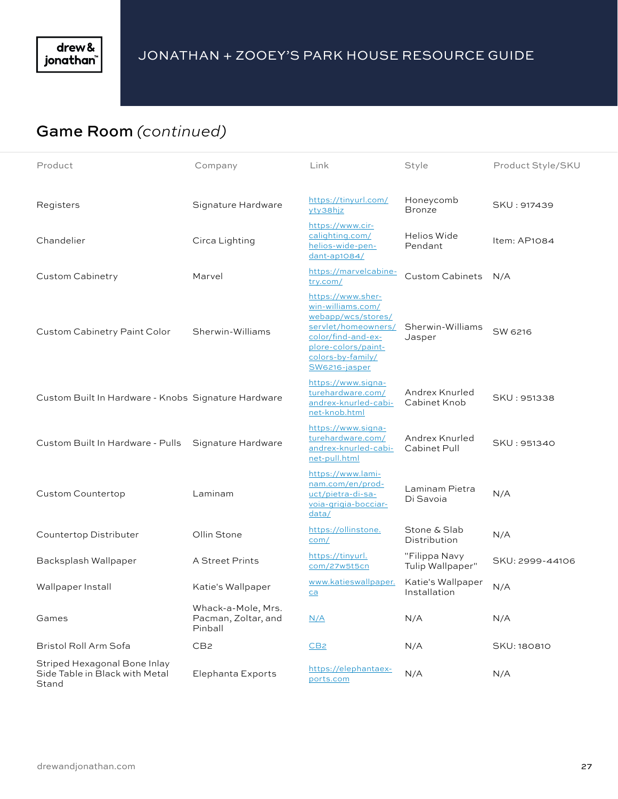## Game Room *(continued)*

| Product                                                                 | Company                                              | Link                                                                                                                                                                   | Style                             | Product Style/SKU |
|-------------------------------------------------------------------------|------------------------------------------------------|------------------------------------------------------------------------------------------------------------------------------------------------------------------------|-----------------------------------|-------------------|
| Registers                                                               | Signature Hardware                                   | https://tinyurl.com/<br>yty38hjz                                                                                                                                       | Honeycomb<br><b>Bronze</b>        | SKU: 917439       |
| Chandelier                                                              | Circa Lighting                                       | https://www.cir-<br>calighting.com/<br>helios-wide-pen-<br>dant-ap1084/                                                                                                | Helios Wide<br>Pendant            | Item: AP1084      |
| Custom Cabinetry                                                        | Marvel                                               | https://marvelcabine-<br>try.com/                                                                                                                                      | <b>Custom Cabinets</b>            | N/A               |
| Custom Cabinetry Paint Color                                            | Sherwin-Williams                                     | https://www.sher-<br>win-williams.com/<br>webapp/wcs/stores/<br>servlet/homeowners/<br>color/find-and-ex-<br>plore-colors/paint-<br>colors-by-family/<br>SW6216-jasper | Sherwin-Williams<br>Jasper        | SW 6216           |
| Custom Built In Hardware - Knobs Signature Hardware                     |                                                      | https://www.signa-<br>turehardware.com/<br>andrex-knurled-cabi-<br>net-knob.html                                                                                       | Andrex Knurled<br>Cabinet Knob    | SKU: 951338       |
| Custom Built In Hardware - Pulls                                        | Signature Hardware                                   | https://www.signa-<br>turehardware.com/<br>andrex-knurled-cabi-<br>net-pull.html                                                                                       | Andrex Knurled<br>Cabinet Pull    | SKU: 951340       |
| <b>Custom Countertop</b>                                                | Laminam                                              | https://www.lami-<br>nam.com/en/prod-<br>uct/pietra-di-sa-<br>voia-grigia-bocciar-<br>data/                                                                            | Laminam Pietra<br>Di Savoia       | N/A               |
| Countertop Distributer                                                  | Ollin Stone                                          | https://ollinstone.<br>com/                                                                                                                                            | Stone & Slab<br>Distribution      | N/A               |
| Backsplash Wallpaper                                                    | A Street Prints                                      | https://tinyurl.<br>com/27w5t5cn                                                                                                                                       | "Filippa Navy<br>Tulip Wallpaper" | SKU: 2999-44106   |
| Wallpaper Install                                                       | Katie's Wallpaper                                    | www.katieswallpaper.<br>ca                                                                                                                                             | Katie's Wallpaper<br>Installation | N/A               |
| Games                                                                   | Whack-a-Mole, Mrs.<br>Pacman, Zoltar, and<br>Pinball | N/A                                                                                                                                                                    | N/A                               | N/A               |
| Bristol Roll Arm Sofa                                                   | CB <sub>2</sub>                                      | CB2                                                                                                                                                                    | N/A                               | SKU: 180810       |
| Striped Hexagonal Bone Inlay<br>Side Table in Black with Metal<br>Stand | Elephanta Exports                                    | https://elephantaex-<br>ports.com                                                                                                                                      | N/A                               | N/A               |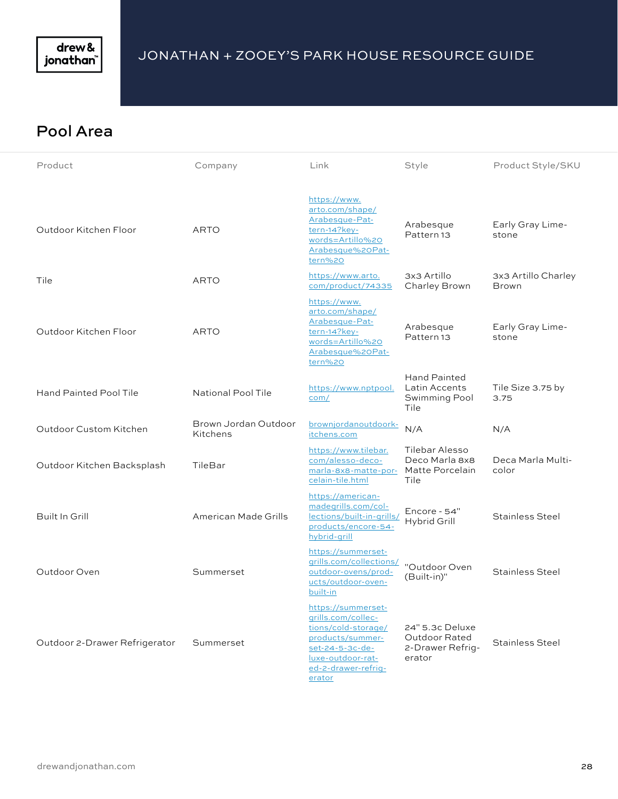

#### Pool Area

| Product                       | Company                          | Link                                                                                                                                                         | Style                                                          | Product Style/SKU                   |
|-------------------------------|----------------------------------|--------------------------------------------------------------------------------------------------------------------------------------------------------------|----------------------------------------------------------------|-------------------------------------|
| Outdoor Kitchen Floor         | <b>ARTO</b>                      | https://www.<br>arto.com/shape/<br>Arabesque-Pat-<br>tern-14?key-<br>words=Artillo%20<br>Arabesque%20Pat-<br>tern%20                                         | Arabesque<br>Pattern <sub>13</sub>                             | Early Gray Lime-<br>stone           |
| Tile                          | <b>ARTO</b>                      | https://www.arto.<br>com/product/74335                                                                                                                       | 3x3 Artillo<br>Charley Brown                                   | 3x3 Artillo Charley<br><b>Brown</b> |
| Outdoor Kitchen Floor         | <b>ARTO</b>                      | https://www.<br>arto.com/shape/<br>Arabesque-Pat-<br>tern-14?key-<br>words=Artillo%20<br>Arabesque%20Pat-<br>tern%20                                         | Arabesque<br>Pattern <sub>13</sub>                             | Early Gray Lime-<br>stone           |
| <b>Hand Painted Pool Tile</b> | National Pool Tile               | https://www.nptpool.<br>com/                                                                                                                                 | <b>Hand Painted</b><br>Latin Accents<br>Swimming Pool<br>Tile  | Tile Size 3.75 by<br>3.75           |
| Outdoor Custom Kitchen        | Brown Jordan Outdoor<br>Kitchens | brownjordanoutdoork-<br>itchens.com                                                                                                                          | N/A                                                            | N/A                                 |
| Outdoor Kitchen Backsplash    | TileBar                          | https://www.tilebar.<br>com/alesso-deco-<br>marla-8x8-matte-por- Matte Porcelain<br>celain-tile.html                                                         | Tilebar Alesso<br>Deco Marla 8x8<br>Tile                       | Deca Marla Multi-<br>color          |
| Built In Grill                | American Made Grills             | https://american-<br>madegrills.com/col-<br>lections/built-in-grills/<br>products/encore-54-<br>hybrid-grill                                                 | Encore - 54"<br>Hybrid Grill                                   | <b>Stainless Steel</b>              |
| Outdoor Oven                  | Summerset                        | https://summerset-<br>grills.com/collections/<br>outdoor-ovens/prod-<br>ucts/outdoor-oven-<br>built-in                                                       | "Outdoor Oven<br>(Built-in)"                                   | <b>Stainless Steel</b>              |
| Outdoor 2-Drawer Refrigerator | Summerset                        | https://summerset-<br>grills.com/collec-<br>tions/cold-storage/<br>products/summer-<br>set-24-5-3c-de-<br>luxe-outdoor-rat-<br>ed-2-drawer-refrig-<br>erator | 24" 5.3c Deluxe<br>Outdoor Rated<br>2-Drawer Refrig-<br>erator | <b>Stainless Steel</b>              |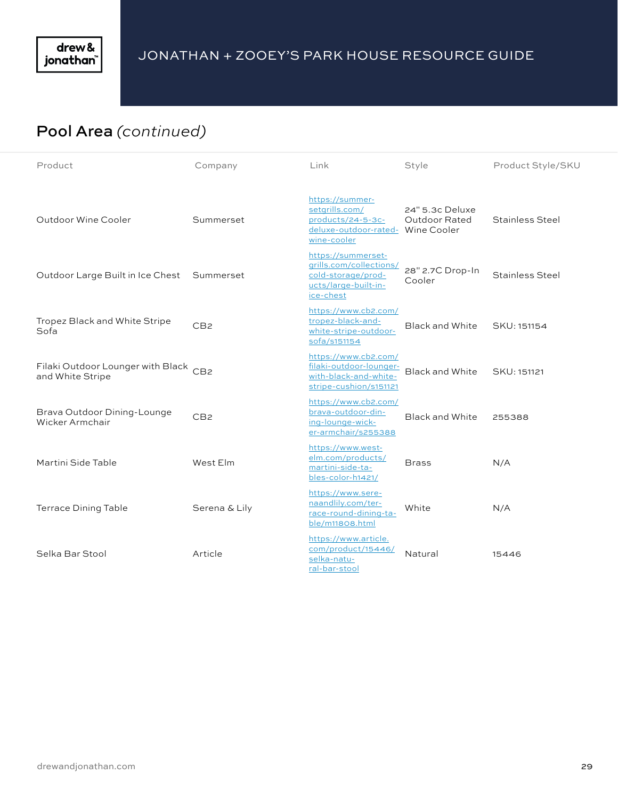

# Pool Area *(continued)*

| Product                                                   | Company         | Link                                                                                                       | Style                            | Product Style/SKU      |
|-----------------------------------------------------------|-----------------|------------------------------------------------------------------------------------------------------------|----------------------------------|------------------------|
| Outdoor Wine Cooler                                       | Summerset       | https://summer-<br>setgrills.com/<br>products/24-5-3c-<br>deluxe-outdoor-rated- Wine Cooler<br>wine-cooler | 24" 5.3c Deluxe<br>Outdoor Rated | <b>Stainless Steel</b> |
| Outdoor Large Built in Ice Chest Summerset                |                 | https://summerset-<br>grills.com/collections/<br>cold-storage/prod-<br>ucts/large-built-in-<br>ice-chest   | 28" 2.7C Drop-In<br>Cooler       | Stainless Steel        |
| Tropez Black and White Stripe<br>Sofa                     | CB <sub>2</sub> | https://www.cb2.com/<br>tropez-black-and-<br>white-stripe-outdoor-<br>sofa/s151154                         | <b>Black and White</b>           | SKU: 151154            |
| Filaki Outdoor Lounger with Black CB2<br>and White Stripe |                 | https://www.cb2.com/<br>filaki-outdoor-lounger-<br>with-black-and-white-<br>stripe-cushion/s151121         | <b>Black and White</b>           | SKU: 151121            |
| Brava Outdoor Dining-Lounge<br>Wicker Armchair            | CB <sub>2</sub> | https://www.cb2.com/<br>brava-outdoor-din-<br>ing-lounge-wick-<br>er-armchair/s255388                      | <b>Black and White</b>           | 255388                 |
| Martini Side Table                                        | West Elm        | https://www.west-<br>elm.com/products/<br>martini-side-ta-<br>bles-color-h1421/                            | <b>Brass</b>                     | N/A                    |
| <b>Terrace Dining Table</b>                               | Serena & Lily   | https://www.sere-<br>naandlily.com/ter-<br>race-round-dining-ta-<br>ble/m11808.html                        | White                            | N/A                    |
| Selka Bar Stool                                           | Article         | https://www.article.<br>com/product/15446/<br>selka-natu-<br>ral-bar-stool                                 | Natural                          | 15446                  |